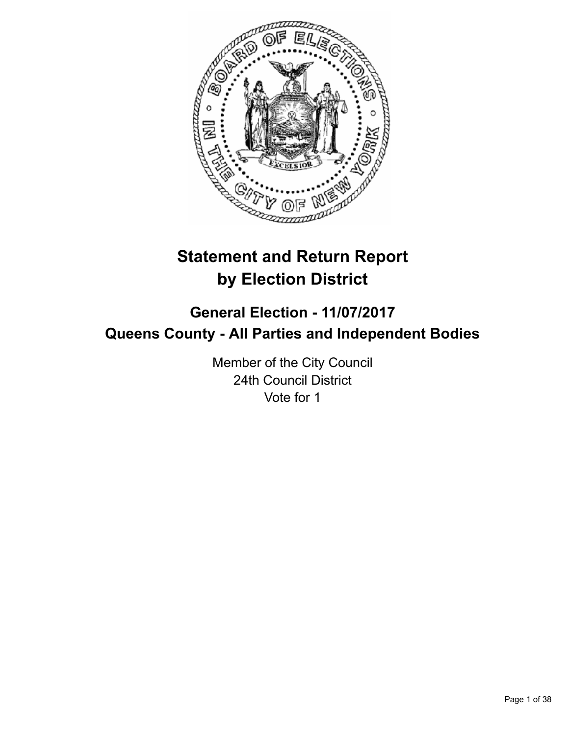

# **Statement and Return Report by Election District**

# **General Election - 11/07/2017 Queens County - All Parties and Independent Bodies**

Member of the City Council 24th Council District Vote for 1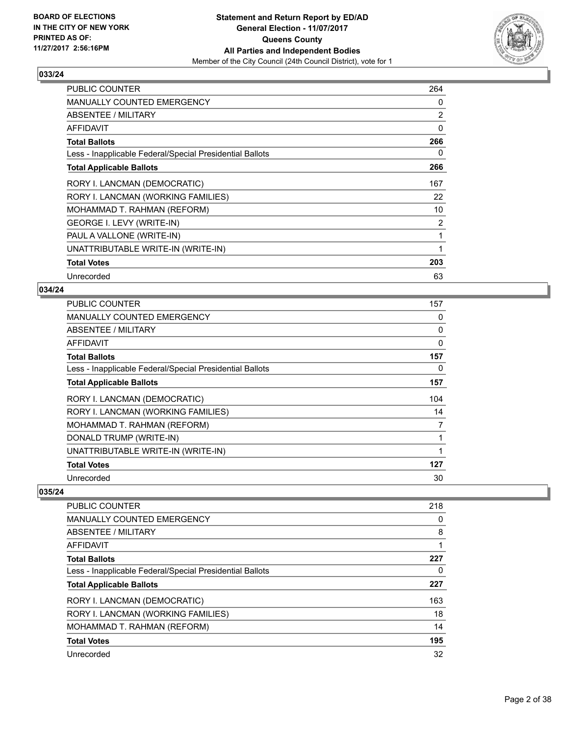

| <b>PUBLIC COUNTER</b>                                    | 264            |
|----------------------------------------------------------|----------------|
| <b>MANUALLY COUNTED EMERGENCY</b>                        | 0              |
| ABSENTEE / MILITARY                                      | $\overline{2}$ |
| AFFIDAVIT                                                | 0              |
| <b>Total Ballots</b>                                     | 266            |
| Less - Inapplicable Federal/Special Presidential Ballots | 0              |
| <b>Total Applicable Ballots</b>                          | 266            |
| RORY I. LANCMAN (DEMOCRATIC)                             | 167            |
| RORY I. LANCMAN (WORKING FAMILIES)                       | 22             |
| MOHAMMAD T. RAHMAN (REFORM)                              | 10             |
| GEORGE I. LEVY (WRITE-IN)                                | $\overline{2}$ |
| PAUL A VALLONE (WRITE-IN)                                | 1              |
| UNATTRIBUTABLE WRITE-IN (WRITE-IN)                       | 1              |
| <b>Total Votes</b>                                       | 203            |
| Unrecorded                                               | 63             |

## **034/24**

| <b>PUBLIC COUNTER</b>                                    | 157            |
|----------------------------------------------------------|----------------|
| MANUALLY COUNTED EMERGENCY                               | 0              |
| ABSENTEE / MILITARY                                      | 0              |
| AFFIDAVIT                                                | 0              |
| <b>Total Ballots</b>                                     | 157            |
| Less - Inapplicable Federal/Special Presidential Ballots | 0              |
| <b>Total Applicable Ballots</b>                          | 157            |
| RORY I. LANCMAN (DEMOCRATIC)                             | 104            |
| RORY I. LANCMAN (WORKING FAMILIES)                       | 14             |
| MOHAMMAD T. RAHMAN (REFORM)                              | $\overline{7}$ |
| DONALD TRUMP (WRITE-IN)                                  |                |
| UNATTRIBUTABLE WRITE-IN (WRITE-IN)                       |                |
| <b>Total Votes</b>                                       | 127            |
| Unrecorded                                               | 30             |

| <b>PUBLIC COUNTER</b>                                    | 218 |
|----------------------------------------------------------|-----|
| MANUALLY COUNTED EMERGENCY                               | 0   |
| ABSENTEE / MILITARY                                      | 8   |
| AFFIDAVIT                                                |     |
| <b>Total Ballots</b>                                     | 227 |
| Less - Inapplicable Federal/Special Presidential Ballots | 0   |
| <b>Total Applicable Ballots</b>                          | 227 |
| RORY I. LANCMAN (DEMOCRATIC)                             | 163 |
| RORY I. LANCMAN (WORKING FAMILIES)                       | 18  |
| MOHAMMAD T. RAHMAN (REFORM)                              | 14  |
| <b>Total Votes</b>                                       | 195 |
| Unrecorded                                               | 32  |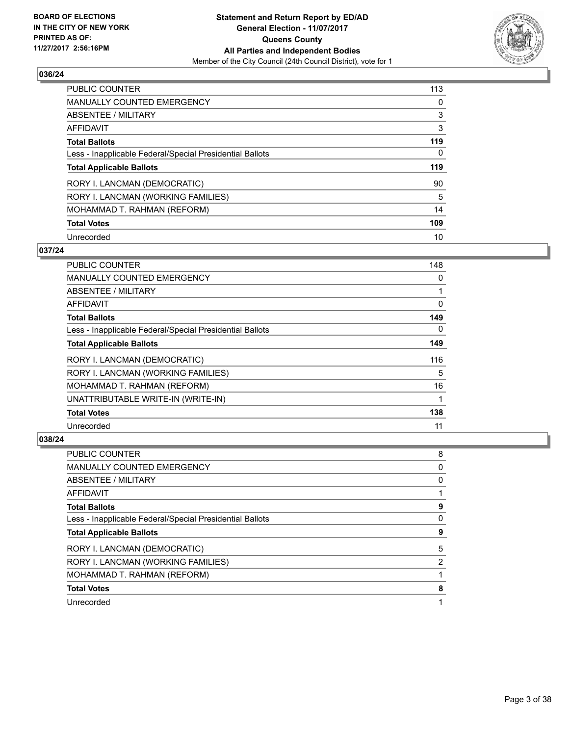

| <b>PUBLIC COUNTER</b>                                    | 113 |
|----------------------------------------------------------|-----|
| <b>MANUALLY COUNTED EMERGENCY</b>                        | 0   |
| ABSENTEE / MILITARY                                      | 3   |
| AFFIDAVIT                                                | 3   |
| <b>Total Ballots</b>                                     | 119 |
| Less - Inapplicable Federal/Special Presidential Ballots | 0   |
| <b>Total Applicable Ballots</b>                          | 119 |
| RORY I. LANCMAN (DEMOCRATIC)                             | 90  |
| RORY I. LANCMAN (WORKING FAMILIES)                       | 5   |
| MOHAMMAD T. RAHMAN (REFORM)                              | 14  |
| <b>Total Votes</b>                                       | 109 |
| Unrecorded                                               | 10  |

#### **037/24**

| <b>PUBLIC COUNTER</b>                                    | 148      |
|----------------------------------------------------------|----------|
| <b>MANUALLY COUNTED EMERGENCY</b>                        | 0        |
| ABSENTEE / MILITARY                                      |          |
| AFFIDAVIT                                                | 0        |
| <b>Total Ballots</b>                                     | 149      |
| Less - Inapplicable Federal/Special Presidential Ballots | $\Omega$ |
| <b>Total Applicable Ballots</b>                          | 149      |
| RORY I. LANCMAN (DEMOCRATIC)                             | 116      |
| RORY I. LANCMAN (WORKING FAMILIES)                       | 5        |
| MOHAMMAD T. RAHMAN (REFORM)                              | 16       |
| UNATTRIBUTABLE WRITE-IN (WRITE-IN)                       |          |
| <b>Total Votes</b>                                       | 138      |
| Unrecorded                                               | 11       |

| <b>PUBLIC COUNTER</b>                                    | 8 |
|----------------------------------------------------------|---|
| <b>MANUALLY COUNTED EMERGENCY</b>                        | 0 |
| ABSENTEE / MILITARY                                      | 0 |
| AFFIDAVIT                                                |   |
| <b>Total Ballots</b>                                     | 9 |
| Less - Inapplicable Federal/Special Presidential Ballots | 0 |
| <b>Total Applicable Ballots</b>                          | 9 |
| RORY I. LANCMAN (DEMOCRATIC)                             | 5 |
| RORY I. LANCMAN (WORKING FAMILIES)                       | 2 |
| MOHAMMAD T. RAHMAN (REFORM)                              |   |
| <b>Total Votes</b>                                       | 8 |
| Unrecorded                                               | 1 |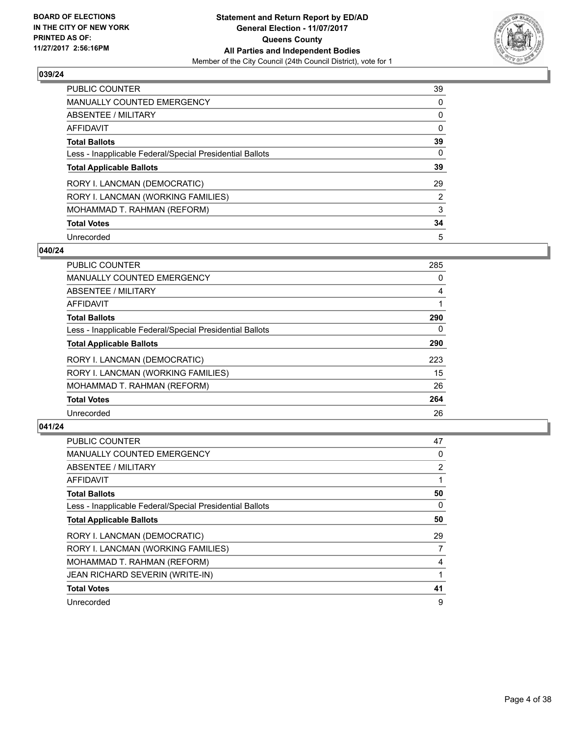

| <b>PUBLIC COUNTER</b>                                    | 39             |
|----------------------------------------------------------|----------------|
| <b>MANUALLY COUNTED EMERGENCY</b>                        | 0              |
| ABSENTEE / MILITARY                                      | 0              |
| AFFIDAVIT                                                | 0              |
| <b>Total Ballots</b>                                     | 39             |
| Less - Inapplicable Federal/Special Presidential Ballots | 0              |
| <b>Total Applicable Ballots</b>                          | 39             |
| RORY I. LANCMAN (DEMOCRATIC)                             | 29             |
| RORY I. LANCMAN (WORKING FAMILIES)                       | $\overline{2}$ |
| MOHAMMAD T. RAHMAN (REFORM)                              | 3              |
| <b>Total Votes</b>                                       | 34             |
| Unrecorded                                               | 5              |

#### **040/24**

| <b>PUBLIC COUNTER</b>                                    | 285      |
|----------------------------------------------------------|----------|
| <b>MANUALLY COUNTED EMERGENCY</b>                        | 0        |
| ABSENTEE / MILITARY                                      | 4        |
| <b>AFFIDAVIT</b>                                         |          |
| <b>Total Ballots</b>                                     | 290      |
| Less - Inapplicable Federal/Special Presidential Ballots | $\Omega$ |
| <b>Total Applicable Ballots</b>                          | 290      |
| RORY I. LANCMAN (DEMOCRATIC)                             | 223      |
| RORY I. LANCMAN (WORKING FAMILIES)                       | 15       |
| MOHAMMAD T. RAHMAN (REFORM)                              | 26       |
| <b>Total Votes</b>                                       | 264      |
| Unrecorded                                               | 26       |

| <b>PUBLIC COUNTER</b>                                    | 47             |
|----------------------------------------------------------|----------------|
| <b>MANUALLY COUNTED EMERGENCY</b>                        | 0              |
| ABSENTEE / MILITARY                                      | $\overline{2}$ |
| AFFIDAVIT                                                |                |
| <b>Total Ballots</b>                                     | 50             |
| Less - Inapplicable Federal/Special Presidential Ballots | 0              |
| <b>Total Applicable Ballots</b>                          | 50             |
| RORY I. LANCMAN (DEMOCRATIC)                             | 29             |
| RORY I. LANCMAN (WORKING FAMILIES)                       | 7              |
| MOHAMMAD T. RAHMAN (REFORM)                              | 4              |
| <b>JEAN RICHARD SEVERIN (WRITE-IN)</b>                   |                |
| <b>Total Votes</b>                                       | 41             |
| Unrecorded                                               | 9              |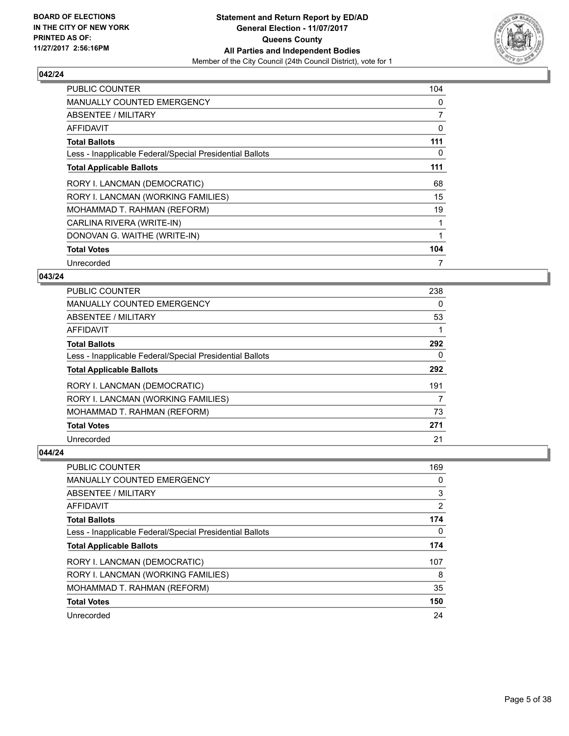

| <b>PUBLIC COUNTER</b>                                    | 104            |
|----------------------------------------------------------|----------------|
| <b>MANUALLY COUNTED EMERGENCY</b>                        | 0              |
| ABSENTEE / MILITARY                                      | $\overline{7}$ |
| AFFIDAVIT                                                | 0              |
| <b>Total Ballots</b>                                     | 111            |
| Less - Inapplicable Federal/Special Presidential Ballots | 0              |
| <b>Total Applicable Ballots</b>                          | 111            |
| RORY I. LANCMAN (DEMOCRATIC)                             | 68             |
| RORY I. LANCMAN (WORKING FAMILIES)                       | 15             |
| MOHAMMAD T. RAHMAN (REFORM)                              | 19             |
| CARLINA RIVERA (WRITE-IN)                                |                |
| DONOVAN G. WAITHE (WRITE-IN)                             |                |
| <b>Total Votes</b>                                       | 104            |
| Unrecorded                                               | 7              |

#### **043/24**

| <b>PUBLIC COUNTER</b>                                    | 238 |
|----------------------------------------------------------|-----|
| <b>MANUALLY COUNTED EMERGENCY</b>                        | 0   |
| ABSENTEE / MILITARY                                      | 53  |
| <b>AFFIDAVIT</b>                                         |     |
| <b>Total Ballots</b>                                     | 292 |
| Less - Inapplicable Federal/Special Presidential Ballots | 0   |
| <b>Total Applicable Ballots</b>                          | 292 |
| RORY I. LANCMAN (DEMOCRATIC)                             | 191 |
| RORY I. LANCMAN (WORKING FAMILIES)                       | 7   |
| MOHAMMAD T. RAHMAN (REFORM)                              | 73  |
| <b>Total Votes</b>                                       | 271 |
| Unrecorded                                               | 21  |

| <b>PUBLIC COUNTER</b>                                    | 169 |
|----------------------------------------------------------|-----|
| <b>MANUALLY COUNTED EMERGENCY</b>                        | 0   |
| ABSENTEE / MILITARY                                      | 3   |
| AFFIDAVIT                                                | 2   |
| <b>Total Ballots</b>                                     | 174 |
| Less - Inapplicable Federal/Special Presidential Ballots | 0   |
| <b>Total Applicable Ballots</b>                          | 174 |
| RORY I. LANCMAN (DEMOCRATIC)                             | 107 |
| RORY I. LANCMAN (WORKING FAMILIES)                       | 8   |
| MOHAMMAD T. RAHMAN (REFORM)                              | 35  |
| <b>Total Votes</b>                                       | 150 |
| Unrecorded                                               | 24  |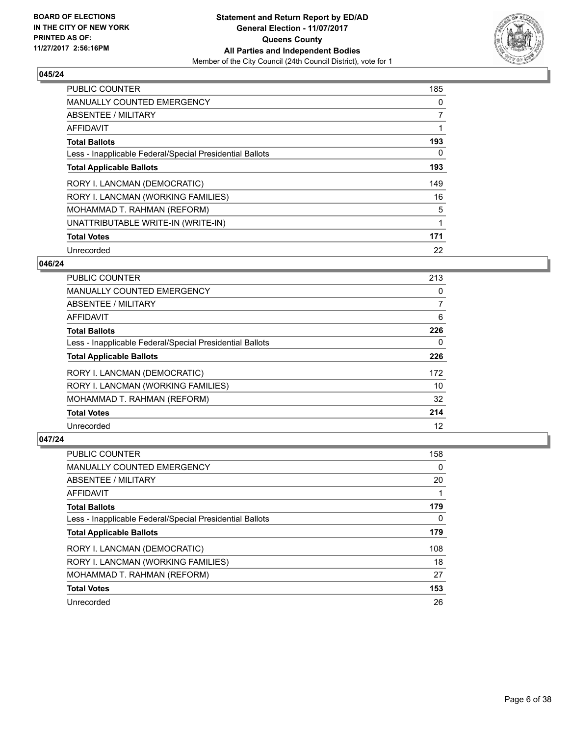

| <b>PUBLIC COUNTER</b>                                    | 185            |
|----------------------------------------------------------|----------------|
| <b>MANUALLY COUNTED EMERGENCY</b>                        | 0              |
| ABSENTEE / MILITARY                                      | $\overline{7}$ |
| <b>AFFIDAVIT</b>                                         |                |
| <b>Total Ballots</b>                                     | 193            |
| Less - Inapplicable Federal/Special Presidential Ballots | 0              |
| <b>Total Applicable Ballots</b>                          | 193            |
| RORY I. LANCMAN (DEMOCRATIC)                             | 149            |
| RORY I. LANCMAN (WORKING FAMILIES)                       | 16             |
| MOHAMMAD T. RAHMAN (REFORM)                              | 5              |
| UNATTRIBUTABLE WRITE-IN (WRITE-IN)                       | 1              |
| <b>Total Votes</b>                                       | 171            |
| Unrecorded                                               | 22             |

#### **046/24**

| <b>PUBLIC COUNTER</b>                                    | 213 |
|----------------------------------------------------------|-----|
| <b>MANUALLY COUNTED EMERGENCY</b>                        | 0   |
| ABSENTEE / MILITARY                                      | 7   |
| AFFIDAVIT                                                | 6   |
| <b>Total Ballots</b>                                     | 226 |
| Less - Inapplicable Federal/Special Presidential Ballots | 0   |
| <b>Total Applicable Ballots</b>                          | 226 |
| RORY I. LANCMAN (DEMOCRATIC)                             | 172 |
| RORY I. LANCMAN (WORKING FAMILIES)                       | 10  |
| MOHAMMAD T. RAHMAN (REFORM)                              | 32  |
| <b>Total Votes</b>                                       | 214 |
| Unrecorded                                               | 12  |

| <b>PUBLIC COUNTER</b>                                    | 158 |
|----------------------------------------------------------|-----|
| <b>MANUALLY COUNTED EMERGENCY</b>                        | 0   |
| ABSENTEE / MILITARY                                      | 20  |
| AFFIDAVIT                                                |     |
| <b>Total Ballots</b>                                     | 179 |
| Less - Inapplicable Federal/Special Presidential Ballots | 0   |
| <b>Total Applicable Ballots</b>                          | 179 |
| RORY I. LANCMAN (DEMOCRATIC)                             | 108 |
| RORY I. LANCMAN (WORKING FAMILIES)                       | 18  |
| MOHAMMAD T. RAHMAN (REFORM)                              | 27  |
| <b>Total Votes</b>                                       | 153 |
| Unrecorded                                               | 26  |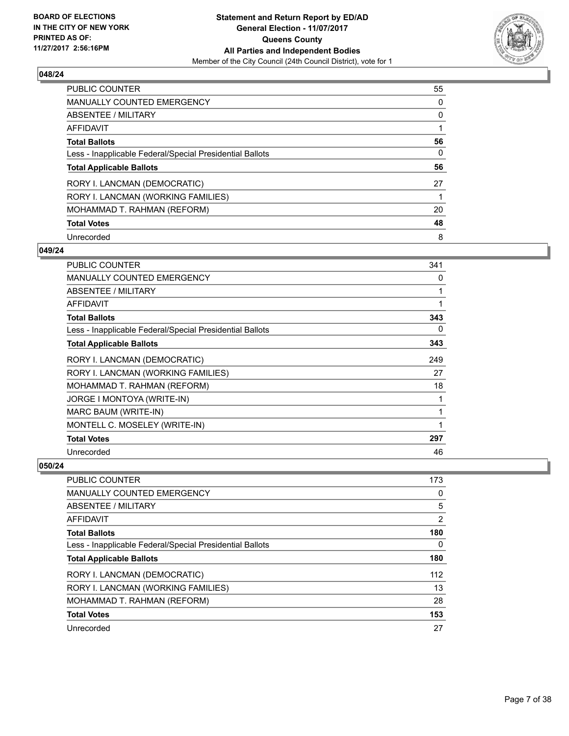

| <b>PUBLIC COUNTER</b>                                    | 55 |
|----------------------------------------------------------|----|
| <b>MANUALLY COUNTED EMERGENCY</b>                        | 0  |
| ABSENTEE / MILITARY                                      | 0  |
| AFFIDAVIT                                                |    |
| <b>Total Ballots</b>                                     | 56 |
| Less - Inapplicable Federal/Special Presidential Ballots | 0  |
| <b>Total Applicable Ballots</b>                          | 56 |
| RORY I. LANCMAN (DEMOCRATIC)                             | 27 |
| RORY I. LANCMAN (WORKING FAMILIES)                       |    |
| MOHAMMAD T. RAHMAN (REFORM)                              | 20 |
| <b>Total Votes</b>                                       | 48 |
| Unrecorded                                               | 8  |

#### **049/24**

| <b>PUBLIC COUNTER</b>                                    | 341 |
|----------------------------------------------------------|-----|
| MANUALLY COUNTED EMERGENCY                               | 0   |
| ABSENTEE / MILITARY                                      |     |
| AFFIDAVIT                                                |     |
| <b>Total Ballots</b>                                     | 343 |
| Less - Inapplicable Federal/Special Presidential Ballots | 0   |
| <b>Total Applicable Ballots</b>                          | 343 |
| RORY I. LANCMAN (DEMOCRATIC)                             | 249 |
| RORY I. LANCMAN (WORKING FAMILIES)                       | 27  |
| MOHAMMAD T. RAHMAN (REFORM)                              | 18  |
| JORGE I MONTOYA (WRITE-IN)                               | 1   |
| MARC BAUM (WRITE-IN)                                     | 1   |
| MONTELL C. MOSELEY (WRITE-IN)                            | 1   |
| <b>Total Votes</b>                                       | 297 |
| Unrecorded                                               | 46  |

| <b>PUBLIC COUNTER</b>                                    | 173 |
|----------------------------------------------------------|-----|
| <b>MANUALLY COUNTED EMERGENCY</b>                        | 0   |
| ABSENTEE / MILITARY                                      | 5   |
| AFFIDAVIT                                                | 2   |
| <b>Total Ballots</b>                                     | 180 |
| Less - Inapplicable Federal/Special Presidential Ballots | 0   |
| <b>Total Applicable Ballots</b>                          | 180 |
| RORY I. LANCMAN (DEMOCRATIC)                             | 112 |
| RORY I. LANCMAN (WORKING FAMILIES)                       | 13  |
| MOHAMMAD T. RAHMAN (REFORM)                              | 28  |
| <b>Total Votes</b>                                       | 153 |
| Unrecorded                                               | 27  |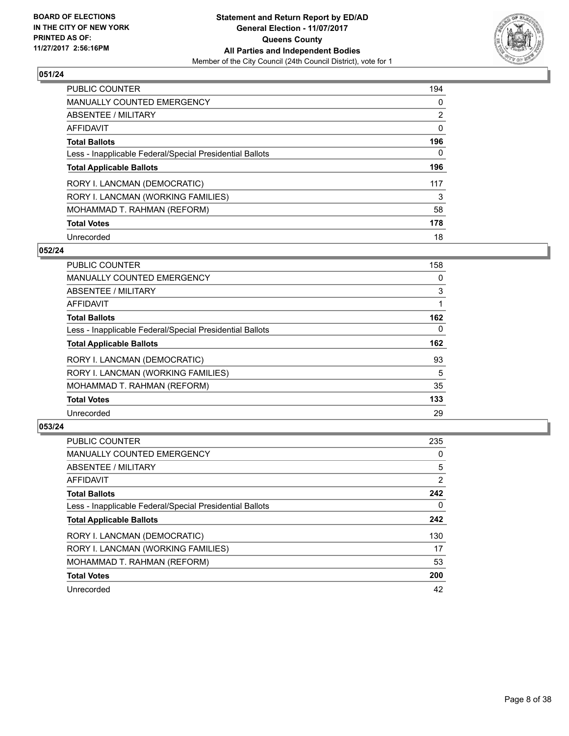

| <b>PUBLIC COUNTER</b>                                    | 194            |
|----------------------------------------------------------|----------------|
| <b>MANUALLY COUNTED EMERGENCY</b>                        | 0              |
| ABSENTEE / MILITARY                                      | $\overline{2}$ |
| AFFIDAVIT                                                | 0              |
| <b>Total Ballots</b>                                     | 196            |
| Less - Inapplicable Federal/Special Presidential Ballots | 0              |
| <b>Total Applicable Ballots</b>                          | 196            |
| RORY I. LANCMAN (DEMOCRATIC)                             | 117            |
| RORY I. LANCMAN (WORKING FAMILIES)                       | 3              |
| MOHAMMAD T. RAHMAN (REFORM)                              | 58             |
| <b>Total Votes</b>                                       | 178            |
| Unrecorded                                               | 18             |

#### **052/24**

| <b>PUBLIC COUNTER</b>                                    | 158      |
|----------------------------------------------------------|----------|
| <b>MANUALLY COUNTED EMERGENCY</b>                        | 0        |
| ABSENTEE / MILITARY                                      | 3        |
| <b>AFFIDAVIT</b>                                         |          |
| <b>Total Ballots</b>                                     | 162      |
| Less - Inapplicable Federal/Special Presidential Ballots | $\Omega$ |
| <b>Total Applicable Ballots</b>                          | 162      |
| RORY I. LANCMAN (DEMOCRATIC)                             | 93       |
| RORY I. LANCMAN (WORKING FAMILIES)                       | 5        |
| MOHAMMAD T. RAHMAN (REFORM)                              | 35       |
| <b>Total Votes</b>                                       | 133      |
| Unrecorded                                               | 29       |

| <b>PUBLIC COUNTER</b>                                    | 235            |
|----------------------------------------------------------|----------------|
| <b>MANUALLY COUNTED EMERGENCY</b>                        | 0              |
| ABSENTEE / MILITARY                                      | 5              |
| AFFIDAVIT                                                | $\overline{2}$ |
| <b>Total Ballots</b>                                     | 242            |
| Less - Inapplicable Federal/Special Presidential Ballots | 0              |
| <b>Total Applicable Ballots</b>                          | 242            |
| RORY I. LANCMAN (DEMOCRATIC)                             | 130            |
| RORY I. LANCMAN (WORKING FAMILIES)                       | 17             |
| MOHAMMAD T. RAHMAN (REFORM)                              | 53             |
| <b>Total Votes</b>                                       | 200            |
| Unrecorded                                               | 42             |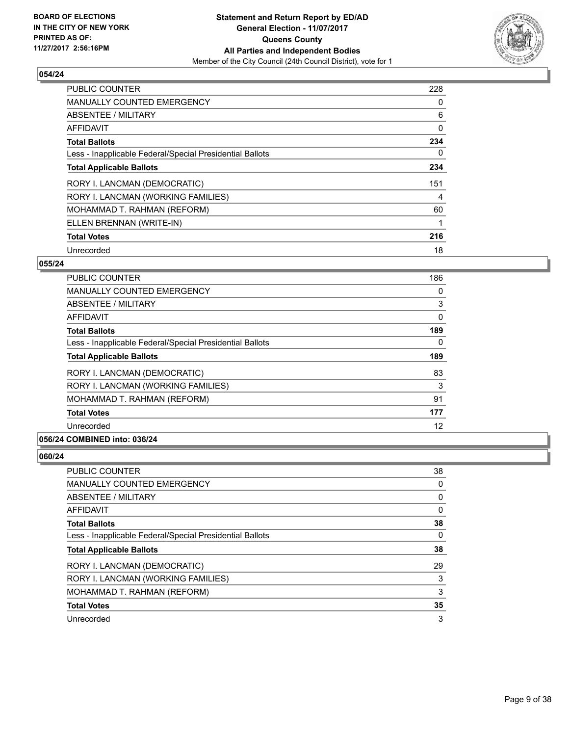

| <b>PUBLIC COUNTER</b>                                    | 228 |
|----------------------------------------------------------|-----|
| <b>MANUALLY COUNTED EMERGENCY</b>                        | 0   |
| ABSENTEE / MILITARY                                      | 6   |
| <b>AFFIDAVIT</b>                                         | 0   |
| <b>Total Ballots</b>                                     | 234 |
| Less - Inapplicable Federal/Special Presidential Ballots | 0   |
| <b>Total Applicable Ballots</b>                          | 234 |
| RORY I. LANCMAN (DEMOCRATIC)                             | 151 |
| RORY I. LANCMAN (WORKING FAMILIES)                       | 4   |
| MOHAMMAD T. RAHMAN (REFORM)                              | 60  |
| ELLEN BRENNAN (WRITE-IN)                                 |     |
| <b>Total Votes</b>                                       | 216 |
| Unrecorded                                               | 18  |

# **055/24**

| PUBLIC COUNTER                                           | 186      |
|----------------------------------------------------------|----------|
| <b>MANUALLY COUNTED EMERGENCY</b>                        | 0        |
| ABSENTEE / MILITARY                                      | 3        |
| <b>AFFIDAVIT</b>                                         | 0        |
| <b>Total Ballots</b>                                     | 189      |
| Less - Inapplicable Federal/Special Presidential Ballots | $\Omega$ |
| <b>Total Applicable Ballots</b>                          | 189      |
| RORY I. LANCMAN (DEMOCRATIC)                             | 83       |
| RORY I. LANCMAN (WORKING FAMILIES)                       | 3        |
| MOHAMMAD T. RAHMAN (REFORM)                              | 91       |
| <b>Total Votes</b>                                       | 177      |
| Unrecorded                                               | 12       |

# **056/24 COMBINED into: 036/24**

| PUBLIC COUNTER                                           | 38 |
|----------------------------------------------------------|----|
| <b>MANUALLY COUNTED EMERGENCY</b>                        | 0  |
| <b>ABSENTEE / MILITARY</b>                               | 0  |
| AFFIDAVIT                                                | 0  |
| <b>Total Ballots</b>                                     | 38 |
| Less - Inapplicable Federal/Special Presidential Ballots | 0  |
| <b>Total Applicable Ballots</b>                          | 38 |
| RORY I. LANCMAN (DEMOCRATIC)                             | 29 |
| RORY I. LANCMAN (WORKING FAMILIES)                       | 3  |
| MOHAMMAD T. RAHMAN (REFORM)                              | 3  |
| <b>Total Votes</b>                                       | 35 |
| Unrecorded                                               | 3  |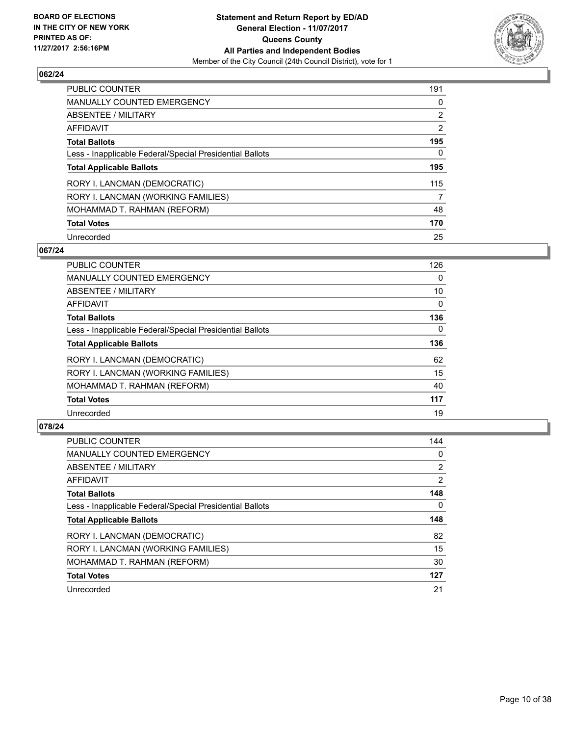

| <b>PUBLIC COUNTER</b>                                    | 191            |
|----------------------------------------------------------|----------------|
| <b>MANUALLY COUNTED EMERGENCY</b>                        | 0              |
| ABSENTEE / MILITARY                                      | $\overline{2}$ |
| AFFIDAVIT                                                | $\overline{2}$ |
| <b>Total Ballots</b>                                     | 195            |
| Less - Inapplicable Federal/Special Presidential Ballots | 0              |
| <b>Total Applicable Ballots</b>                          | 195            |
| RORY I. LANCMAN (DEMOCRATIC)                             | 115            |
| RORY I. LANCMAN (WORKING FAMILIES)                       | 7              |
| MOHAMMAD T. RAHMAN (REFORM)                              | 48             |
| <b>Total Votes</b>                                       | 170            |
| Unrecorded                                               | 25             |

#### **067/24**

| <b>PUBLIC COUNTER</b>                                    | 126      |
|----------------------------------------------------------|----------|
| <b>MANUALLY COUNTED EMERGENCY</b>                        | 0        |
| ABSENTEE / MILITARY                                      | 10       |
| <b>AFFIDAVIT</b>                                         | 0        |
| <b>Total Ballots</b>                                     | 136      |
| Less - Inapplicable Federal/Special Presidential Ballots | $\Omega$ |
| <b>Total Applicable Ballots</b>                          | 136      |
| RORY I. LANCMAN (DEMOCRATIC)                             | 62       |
| RORY I. LANCMAN (WORKING FAMILIES)                       | 15       |
| MOHAMMAD T. RAHMAN (REFORM)                              | 40       |
| <b>Total Votes</b>                                       | 117      |
| Unrecorded                                               | 19       |

| <b>PUBLIC COUNTER</b>                                    | 144            |
|----------------------------------------------------------|----------------|
| <b>MANUALLY COUNTED EMERGENCY</b>                        | 0              |
| ABSENTEE / MILITARY                                      | $\overline{2}$ |
| <b>AFFIDAVIT</b>                                         | $\overline{2}$ |
| <b>Total Ballots</b>                                     | 148            |
| Less - Inapplicable Federal/Special Presidential Ballots | 0              |
| <b>Total Applicable Ballots</b>                          | 148            |
| RORY I. LANCMAN (DEMOCRATIC)                             | 82             |
|                                                          |                |
| RORY I. LANCMAN (WORKING FAMILIES)                       | 15             |
| MOHAMMAD T. RAHMAN (REFORM)                              | 30             |
| <b>Total Votes</b>                                       | 127            |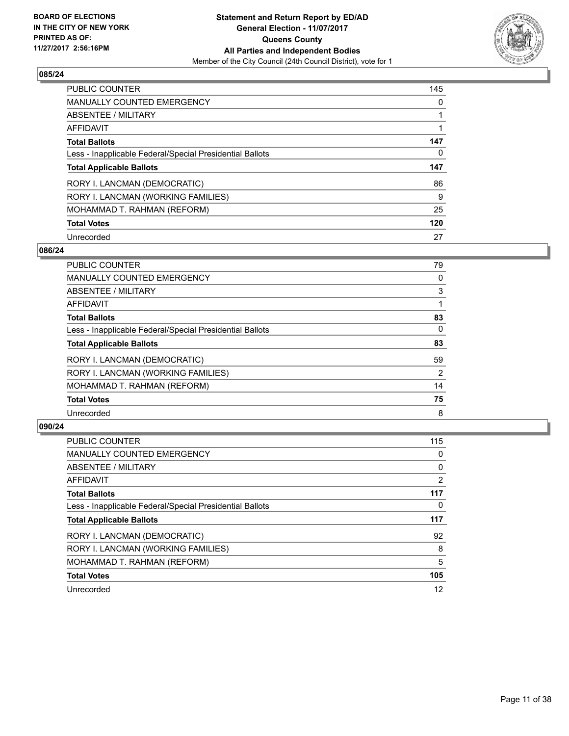

| <b>PUBLIC COUNTER</b>                                    | 145 |
|----------------------------------------------------------|-----|
| MANUALLY COUNTED EMERGENCY                               | 0   |
| ABSENTEE / MILITARY                                      |     |
| AFFIDAVIT                                                |     |
| <b>Total Ballots</b>                                     | 147 |
| Less - Inapplicable Federal/Special Presidential Ballots | 0   |
|                                                          |     |
| <b>Total Applicable Ballots</b>                          | 147 |
| RORY I. LANCMAN (DEMOCRATIC)                             | 86  |
| RORY I. LANCMAN (WORKING FAMILIES)                       | 9   |
| MOHAMMAD T. RAHMAN (REFORM)                              | 25  |
| <b>Total Votes</b>                                       | 120 |

#### **086/24**

| 0        |
|----------|
|          |
| 3        |
|          |
| 83       |
| $\Omega$ |
| 83       |
| 59       |
| 2        |
| 14       |
| 75       |
| 8        |
|          |

| <b>PUBLIC COUNTER</b>                                    | 115 |
|----------------------------------------------------------|-----|
| <b>MANUALLY COUNTED EMERGENCY</b>                        | 0   |
| ABSENTEE / MILITARY                                      | 0   |
| AFFIDAVIT                                                | 2   |
| <b>Total Ballots</b>                                     | 117 |
| Less - Inapplicable Federal/Special Presidential Ballots | 0   |
| <b>Total Applicable Ballots</b>                          | 117 |
| RORY I. LANCMAN (DEMOCRATIC)                             | 92  |
| RORY I. LANCMAN (WORKING FAMILIES)                       | 8   |
| MOHAMMAD T. RAHMAN (REFORM)                              | 5   |
| <b>Total Votes</b>                                       | 105 |
| Unrecorded                                               | 12  |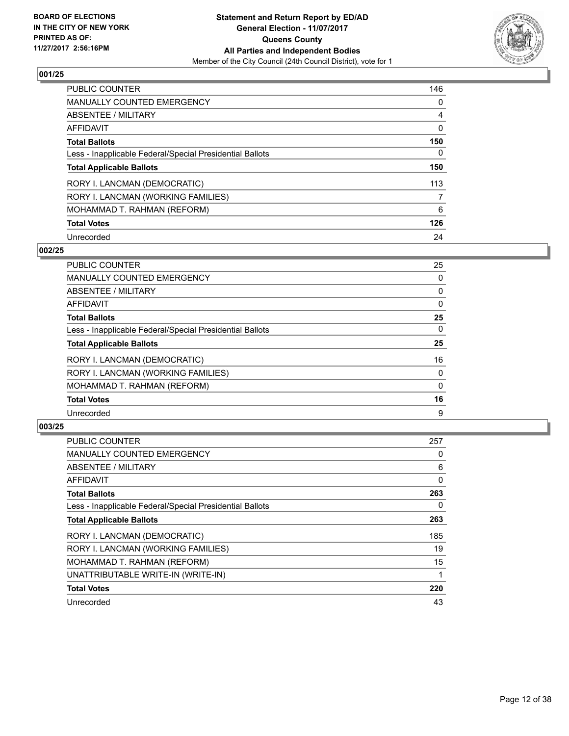

| <b>PUBLIC COUNTER</b>                                    | 146 |
|----------------------------------------------------------|-----|
| <b>MANUALLY COUNTED EMERGENCY</b>                        | 0   |
| ABSENTEE / MILITARY                                      | 4   |
| AFFIDAVIT                                                | 0   |
| <b>Total Ballots</b>                                     | 150 |
| Less - Inapplicable Federal/Special Presidential Ballots | 0   |
| <b>Total Applicable Ballots</b>                          | 150 |
| RORY I. LANCMAN (DEMOCRATIC)                             | 113 |
| RORY I. LANCMAN (WORKING FAMILIES)                       | 7   |
| MOHAMMAD T. RAHMAN (REFORM)                              | 6   |
| <b>Total Votes</b>                                       | 126 |
| Unrecorded                                               | 24  |

#### **002/25**

| <b>PUBLIC COUNTER</b>                                    | 25           |
|----------------------------------------------------------|--------------|
| <b>MANUALLY COUNTED EMERGENCY</b>                        | 0            |
| ABSENTEE / MILITARY                                      | 0            |
| <b>AFFIDAVIT</b>                                         | 0            |
| <b>Total Ballots</b>                                     | 25           |
| Less - Inapplicable Federal/Special Presidential Ballots | $\Omega$     |
| <b>Total Applicable Ballots</b>                          | 25           |
| RORY I. LANCMAN (DEMOCRATIC)                             | 16           |
| RORY I. LANCMAN (WORKING FAMILIES)                       | 0            |
| MOHAMMAD T. RAHMAN (REFORM)                              | $\mathbf{0}$ |
| <b>Total Votes</b>                                       | 16           |
| Unrecorded                                               | 9            |

| <b>PUBLIC COUNTER</b>                                    | 257 |
|----------------------------------------------------------|-----|
| <b>MANUALLY COUNTED EMERGENCY</b>                        | 0   |
| ABSENTEE / MILITARY                                      | 6   |
| AFFIDAVIT                                                | 0   |
| <b>Total Ballots</b>                                     | 263 |
| Less - Inapplicable Federal/Special Presidential Ballots | 0   |
| <b>Total Applicable Ballots</b>                          | 263 |
| RORY I. LANCMAN (DEMOCRATIC)                             | 185 |
| RORY I. LANCMAN (WORKING FAMILIES)                       | 19  |
| MOHAMMAD T. RAHMAN (REFORM)                              | 15  |
| UNATTRIBUTABLE WRITE-IN (WRITE-IN)                       |     |
| <b>Total Votes</b>                                       | 220 |
| Unrecorded                                               | 43  |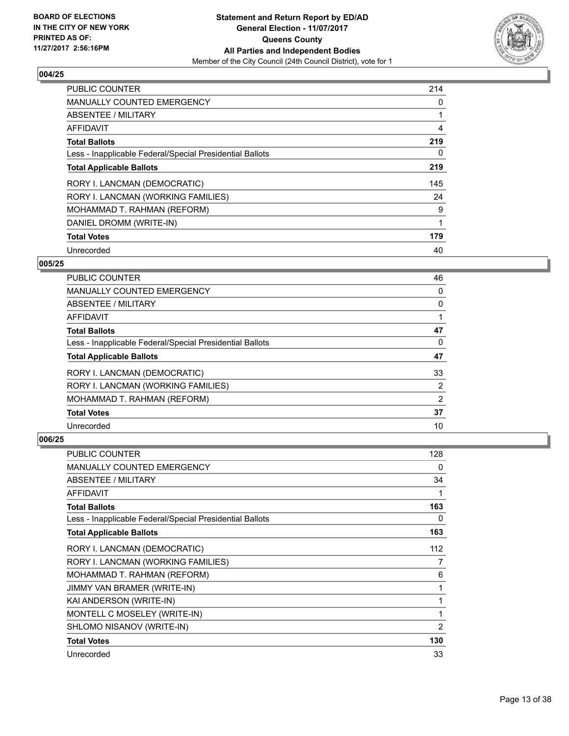

| <b>PUBLIC COUNTER</b>                                    | 214 |
|----------------------------------------------------------|-----|
| <b>MANUALLY COUNTED EMERGENCY</b>                        | 0   |
| ABSENTEE / MILITARY                                      | 1   |
| AFFIDAVIT                                                | 4   |
| <b>Total Ballots</b>                                     | 219 |
| Less - Inapplicable Federal/Special Presidential Ballots | 0   |
| <b>Total Applicable Ballots</b>                          | 219 |
| RORY I. LANCMAN (DEMOCRATIC)                             | 145 |
| RORY I. LANCMAN (WORKING FAMILIES)                       | 24  |
| MOHAMMAD T. RAHMAN (REFORM)                              | 9   |
| DANIEL DROMM (WRITE-IN)                                  | 1   |
| <b>Total Votes</b>                                       | 179 |
| Unrecorded                                               | 40  |

#### **005/25**

| <b>PUBLIC COUNTER</b>                                    | 46 |
|----------------------------------------------------------|----|
| <b>MANUALLY COUNTED EMERGENCY</b>                        | 0  |
| ABSENTEE / MILITARY                                      | 0  |
| AFFIDAVIT                                                |    |
| <b>Total Ballots</b>                                     | 47 |
| Less - Inapplicable Federal/Special Presidential Ballots | 0  |
| <b>Total Applicable Ballots</b>                          | 47 |
| RORY I. LANCMAN (DEMOCRATIC)                             | 33 |
| RORY I. LANCMAN (WORKING FAMILIES)                       | 2  |
| MOHAMMAD T. RAHMAN (REFORM)                              | 2  |
| <b>Total Votes</b>                                       | 37 |
| Unrecorded                                               | 10 |

| <b>PUBLIC COUNTER</b>                                    | 128 |
|----------------------------------------------------------|-----|
| <b>MANUALLY COUNTED EMERGENCY</b>                        | 0   |
| ABSENTEE / MILITARY                                      | 34  |
| <b>AFFIDAVIT</b>                                         | 1   |
| <b>Total Ballots</b>                                     | 163 |
| Less - Inapplicable Federal/Special Presidential Ballots | 0   |
| <b>Total Applicable Ballots</b>                          | 163 |
| RORY I. LANCMAN (DEMOCRATIC)                             | 112 |
| RORY I. LANCMAN (WORKING FAMILIES)                       | 7   |
| MOHAMMAD T. RAHMAN (REFORM)                              | 6   |
| JIMMY VAN BRAMER (WRITE-IN)                              | 1   |
| KAI ANDERSON (WRITE-IN)                                  | 1   |
| MONTELL C MOSELEY (WRITE-IN)                             | 1   |
| SHLOMO NISANOV (WRITE-IN)                                | 2   |
| <b>Total Votes</b>                                       | 130 |
| Unrecorded                                               | 33  |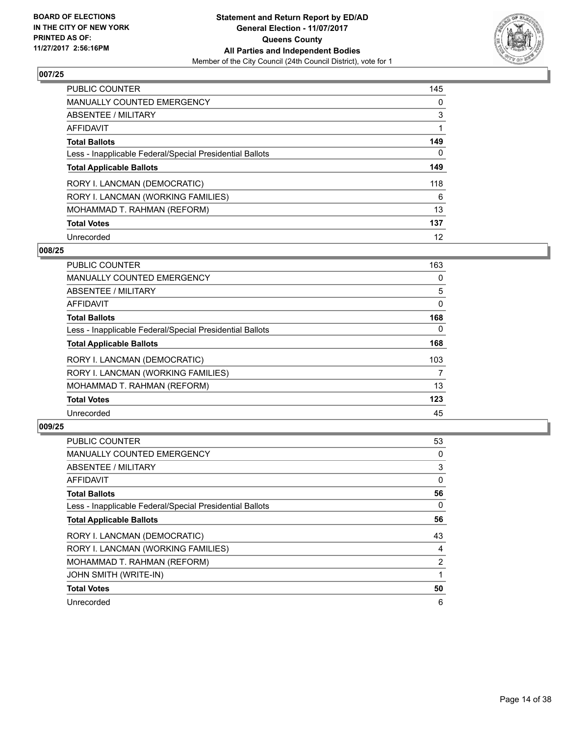

| <b>PUBLIC COUNTER</b>                                    | 145 |
|----------------------------------------------------------|-----|
| <b>MANUALLY COUNTED EMERGENCY</b>                        | 0   |
| ABSENTEE / MILITARY                                      | 3   |
| AFFIDAVIT                                                |     |
| <b>Total Ballots</b>                                     | 149 |
| Less - Inapplicable Federal/Special Presidential Ballots | 0   |
| <b>Total Applicable Ballots</b>                          | 149 |
| RORY I. LANCMAN (DEMOCRATIC)                             | 118 |
| RORY I. LANCMAN (WORKING FAMILIES)                       | 6   |
| MOHAMMAD T. RAHMAN (REFORM)                              | 13  |
| <b>Total Votes</b>                                       | 137 |
| Unrecorded                                               | 12  |

#### **008/25**

| <b>PUBLIC COUNTER</b>                                    | 163      |
|----------------------------------------------------------|----------|
| <b>MANUALLY COUNTED EMERGENCY</b>                        | 0        |
| ABSENTEE / MILITARY                                      | 5        |
| <b>AFFIDAVIT</b>                                         | $\Omega$ |
| <b>Total Ballots</b>                                     | 168      |
| Less - Inapplicable Federal/Special Presidential Ballots | $\Omega$ |
| <b>Total Applicable Ballots</b>                          | 168      |
| RORY I. LANCMAN (DEMOCRATIC)                             | 103      |
| RORY I. LANCMAN (WORKING FAMILIES)                       | 7        |
| MOHAMMAD T. RAHMAN (REFORM)                              | 13       |
| <b>Total Votes</b>                                       | 123      |
| Unrecorded                                               | 45       |

| PUBLIC COUNTER                                           | 53             |
|----------------------------------------------------------|----------------|
| <b>MANUALLY COUNTED EMERGENCY</b>                        | 0              |
| ABSENTEE / MILITARY                                      | 3              |
| AFFIDAVIT                                                | 0              |
| <b>Total Ballots</b>                                     | 56             |
| Less - Inapplicable Federal/Special Presidential Ballots | 0              |
| <b>Total Applicable Ballots</b>                          | 56             |
| RORY I. LANCMAN (DEMOCRATIC)                             | 43             |
| RORY I. LANCMAN (WORKING FAMILIES)                       | 4              |
| MOHAMMAD T. RAHMAN (REFORM)                              | $\overline{2}$ |
| <b>JOHN SMITH (WRITE-IN)</b>                             |                |
| <b>Total Votes</b>                                       | 50             |
| Unrecorded                                               | 6              |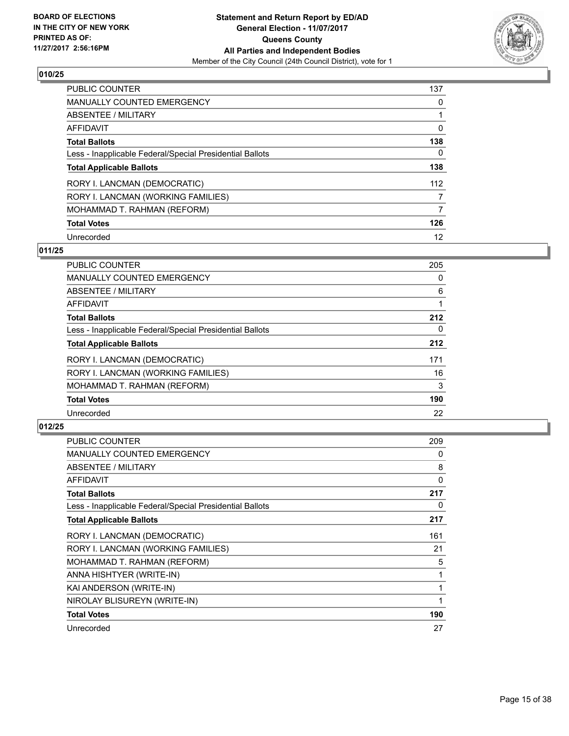

| <b>PUBLIC COUNTER</b>                                    | 137 |
|----------------------------------------------------------|-----|
| MANUALLY COUNTED EMERGENCY                               | 0   |
| ABSENTEE / MILITARY                                      |     |
| AFFIDAVIT                                                | 0   |
| <b>Total Ballots</b>                                     | 138 |
| Less - Inapplicable Federal/Special Presidential Ballots | 0   |
| <b>Total Applicable Ballots</b>                          | 138 |
| RORY I. LANCMAN (DEMOCRATIC)                             | 112 |
| RORY I. LANCMAN (WORKING FAMILIES)                       | 7   |
| MOHAMMAD T. RAHMAN (REFORM)                              | 7   |
| <b>Total Votes</b>                                       | 126 |
| Unrecorded                                               | 12  |

#### **011/25**

| <b>PUBLIC COUNTER</b>                                    | 205      |
|----------------------------------------------------------|----------|
| <b>MANUALLY COUNTED EMERGENCY</b>                        | 0        |
| ABSENTEE / MILITARY                                      | 6        |
| <b>AFFIDAVIT</b>                                         |          |
| <b>Total Ballots</b>                                     | 212      |
| Less - Inapplicable Federal/Special Presidential Ballots | $\Omega$ |
| <b>Total Applicable Ballots</b>                          | 212      |
| RORY I. LANCMAN (DEMOCRATIC)                             | 171      |
| RORY I. LANCMAN (WORKING FAMILIES)                       | 16       |
| MOHAMMAD T. RAHMAN (REFORM)                              | 3        |
| <b>Total Votes</b>                                       | 190      |
| Unrecorded                                               | 22       |

| <b>PUBLIC COUNTER</b>                                    | 209 |
|----------------------------------------------------------|-----|
| <b>MANUALLY COUNTED EMERGENCY</b>                        | 0   |
| ABSENTEE / MILITARY                                      | 8   |
| AFFIDAVIT                                                | 0   |
| <b>Total Ballots</b>                                     | 217 |
| Less - Inapplicable Federal/Special Presidential Ballots | 0   |
| <b>Total Applicable Ballots</b>                          | 217 |
| RORY I. LANCMAN (DEMOCRATIC)                             | 161 |
| RORY I. LANCMAN (WORKING FAMILIES)                       | 21  |
| MOHAMMAD T. RAHMAN (REFORM)                              | 5   |
| ANNA HISHTYER (WRITE-IN)                                 | 1   |
| KAI ANDERSON (WRITE-IN)                                  | 1   |
| NIROLAY BLISUREYN (WRITE-IN)                             | 1   |
| <b>Total Votes</b>                                       | 190 |
| Unrecorded                                               | 27  |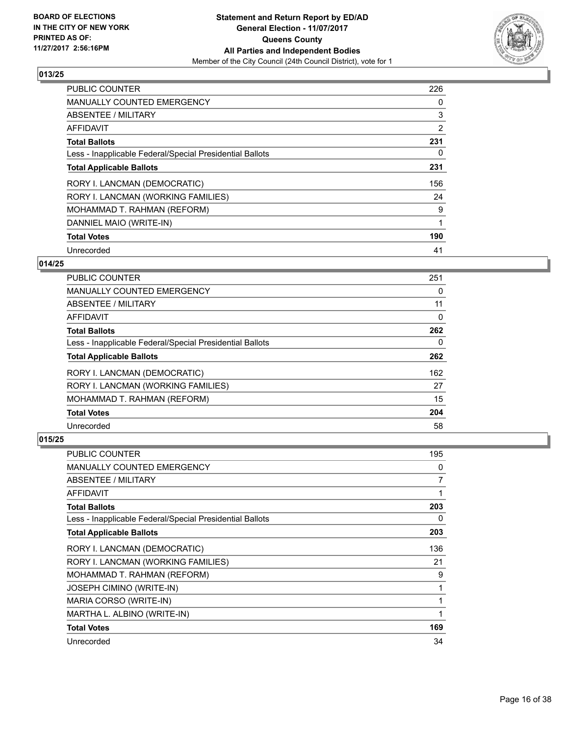

| <b>PUBLIC COUNTER</b>                                    | 226            |
|----------------------------------------------------------|----------------|
| <b>MANUALLY COUNTED EMERGENCY</b>                        | 0              |
| ABSENTEE / MILITARY                                      | 3              |
| <b>AFFIDAVIT</b>                                         | $\overline{2}$ |
| <b>Total Ballots</b>                                     | 231            |
| Less - Inapplicable Federal/Special Presidential Ballots | 0              |
| <b>Total Applicable Ballots</b>                          | 231            |
| RORY I. LANCMAN (DEMOCRATIC)                             | 156            |
| RORY I. LANCMAN (WORKING FAMILIES)                       | 24             |
| MOHAMMAD T. RAHMAN (REFORM)                              | 9              |
| DANNIEL MAIO (WRITE-IN)                                  |                |
| <b>Total Votes</b>                                       | 190            |
| Unrecorded                                               | 41             |

# **014/25**

| PUBLIC COUNTER                                           | 251 |
|----------------------------------------------------------|-----|
| <b>MANUALLY COUNTED EMERGENCY</b>                        | 0   |
| ABSENTEE / MILITARY                                      | 11  |
| AFFIDAVIT                                                | 0   |
| <b>Total Ballots</b>                                     | 262 |
| Less - Inapplicable Federal/Special Presidential Ballots | 0   |
| <b>Total Applicable Ballots</b>                          | 262 |
| RORY I. LANCMAN (DEMOCRATIC)                             | 162 |
| RORY I. LANCMAN (WORKING FAMILIES)                       | 27  |
| MOHAMMAD T. RAHMAN (REFORM)                              | 15  |
| <b>Total Votes</b>                                       | 204 |
| Unrecorded                                               | 58  |

| PUBLIC COUNTER                                           | 195 |
|----------------------------------------------------------|-----|
| <b>MANUALLY COUNTED EMERGENCY</b>                        | 0   |
| ABSENTEE / MILITARY                                      | 7   |
| AFFIDAVIT                                                |     |
| <b>Total Ballots</b>                                     | 203 |
| Less - Inapplicable Federal/Special Presidential Ballots | 0   |
| <b>Total Applicable Ballots</b>                          | 203 |
| RORY I. LANCMAN (DEMOCRATIC)                             | 136 |
| RORY I. LANCMAN (WORKING FAMILIES)                       | 21  |
| MOHAMMAD T. RAHMAN (REFORM)                              | 9   |
| <b>JOSEPH CIMINO (WRITE-IN)</b>                          | 1   |
| MARIA CORSO (WRITE-IN)                                   |     |
| MARTHA L. ALBINO (WRITE-IN)                              | 1   |
| <b>Total Votes</b>                                       | 169 |
| Unrecorded                                               | 34  |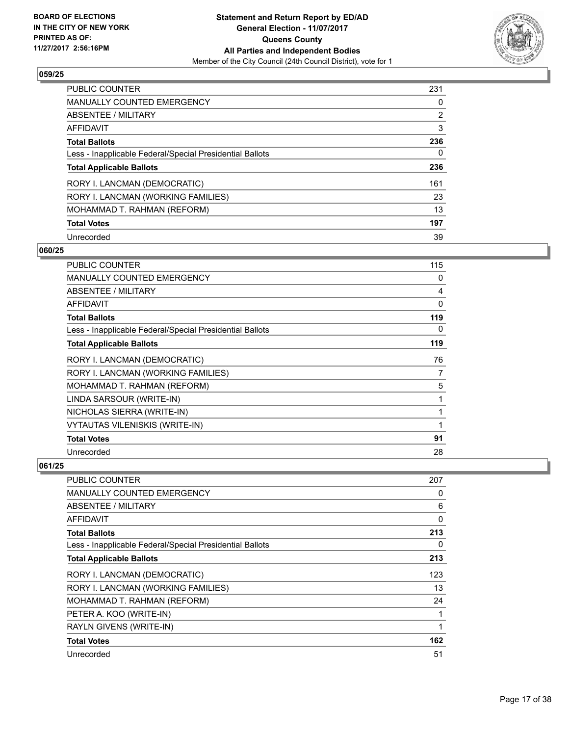

| <b>PUBLIC COUNTER</b>                                    | 231            |
|----------------------------------------------------------|----------------|
| <b>MANUALLY COUNTED EMERGENCY</b>                        | 0              |
| ABSENTEE / MILITARY                                      | $\overline{2}$ |
| AFFIDAVIT                                                | 3              |
| <b>Total Ballots</b>                                     | 236            |
| Less - Inapplicable Federal/Special Presidential Ballots | 0              |
| <b>Total Applicable Ballots</b>                          | 236            |
| RORY I. LANCMAN (DEMOCRATIC)                             | 161            |
| RORY I. LANCMAN (WORKING FAMILIES)                       | 23             |
| MOHAMMAD T. RAHMAN (REFORM)                              | 13             |
| <b>Total Votes</b>                                       | 197            |
| Unrecorded                                               | 39             |

#### **060/25**

| <b>PUBLIC COUNTER</b>                                    | 115 |
|----------------------------------------------------------|-----|
| <b>MANUALLY COUNTED EMERGENCY</b>                        | 0   |
| ABSENTEE / MILITARY                                      | 4   |
| AFFIDAVIT                                                | 0   |
| Total Ballots                                            | 119 |
| Less - Inapplicable Federal/Special Presidential Ballots | 0   |
| <b>Total Applicable Ballots</b>                          | 119 |
| RORY I. LANCMAN (DEMOCRATIC)                             | 76  |
| RORY I. LANCMAN (WORKING FAMILIES)                       | 7   |
| MOHAMMAD T. RAHMAN (REFORM)                              | 5   |
| LINDA SARSOUR (WRITE-IN)                                 | 1   |
| NICHOLAS SIERRA (WRITE-IN)                               | 1   |
| <b>VYTAUTAS VILENISKIS (WRITE-IN)</b>                    |     |
| <b>Total Votes</b>                                       | 91  |
| Unrecorded                                               | 28  |

| <b>PUBLIC COUNTER</b>                                    | 207 |
|----------------------------------------------------------|-----|
| <b>MANUALLY COUNTED EMERGENCY</b>                        | 0   |
| ABSENTEE / MILITARY                                      | 6   |
| AFFIDAVIT                                                | 0   |
| <b>Total Ballots</b>                                     | 213 |
| Less - Inapplicable Federal/Special Presidential Ballots | 0   |
| <b>Total Applicable Ballots</b>                          | 213 |
| RORY I. LANCMAN (DEMOCRATIC)                             | 123 |
| RORY I. LANCMAN (WORKING FAMILIES)                       | 13  |
| MOHAMMAD T. RAHMAN (REFORM)                              | 24  |
| PETER A. KOO (WRITE-IN)                                  |     |
| RAYLN GIVENS (WRITE-IN)                                  |     |
| <b>Total Votes</b>                                       | 162 |
| Unrecorded                                               | 51  |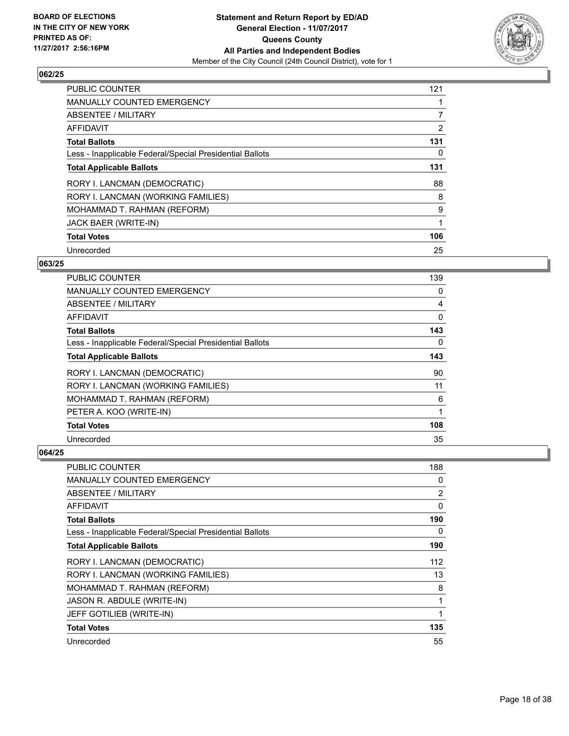

| <b>PUBLIC COUNTER</b>                                    | 121            |
|----------------------------------------------------------|----------------|
| MANUALLY COUNTED EMERGENCY                               |                |
| ABSENTEE / MILITARY                                      | $\overline{7}$ |
| <b>AFFIDAVIT</b>                                         | $\overline{2}$ |
| <b>Total Ballots</b>                                     | 131            |
| Less - Inapplicable Federal/Special Presidential Ballots | 0              |
| <b>Total Applicable Ballots</b>                          | 131            |
| RORY I. LANCMAN (DEMOCRATIC)                             | 88             |
| RORY I. LANCMAN (WORKING FAMILIES)                       | 8              |
| MOHAMMAD T. RAHMAN (REFORM)                              | 9              |
| JACK BAER (WRITE-IN)                                     |                |
| <b>Total Votes</b>                                       | 106            |
| Unrecorded                                               | 25             |

# **063/25**

| <b>PUBLIC COUNTER</b>                                    | 139 |
|----------------------------------------------------------|-----|
| <b>MANUALLY COUNTED EMERGENCY</b>                        | 0   |
| ABSENTEE / MILITARY                                      | 4   |
| AFFIDAVIT                                                | 0   |
| <b>Total Ballots</b>                                     | 143 |
| Less - Inapplicable Federal/Special Presidential Ballots | 0   |
| <b>Total Applicable Ballots</b>                          | 143 |
| RORY I. LANCMAN (DEMOCRATIC)                             | 90  |
| RORY I. LANCMAN (WORKING FAMILIES)                       | 11  |
| MOHAMMAD T. RAHMAN (REFORM)                              | 6   |
| PETER A. KOO (WRITE-IN)                                  | 1   |
| <b>Total Votes</b>                                       | 108 |
| Unrecorded                                               | 35  |

| <b>PUBLIC COUNTER</b>                                    | 188      |
|----------------------------------------------------------|----------|
| <b>MANUALLY COUNTED EMERGENCY</b>                        | 0        |
| ABSENTEE / MILITARY                                      | 2        |
| AFFIDAVIT                                                | $\Omega$ |
| <b>Total Ballots</b>                                     | 190      |
| Less - Inapplicable Federal/Special Presidential Ballots | 0        |
| <b>Total Applicable Ballots</b>                          | 190      |
| RORY I. LANCMAN (DEMOCRATIC)                             | 112      |
| RORY I. LANCMAN (WORKING FAMILIES)                       | 13       |
| MOHAMMAD T. RAHMAN (REFORM)                              | 8        |
| JASON R. ABDULE (WRITE-IN)                               | 1        |
| JEFF GOTILIEB (WRITE-IN)                                 | 1        |
| <b>Total Votes</b>                                       | 135      |
| Unrecorded                                               | 55       |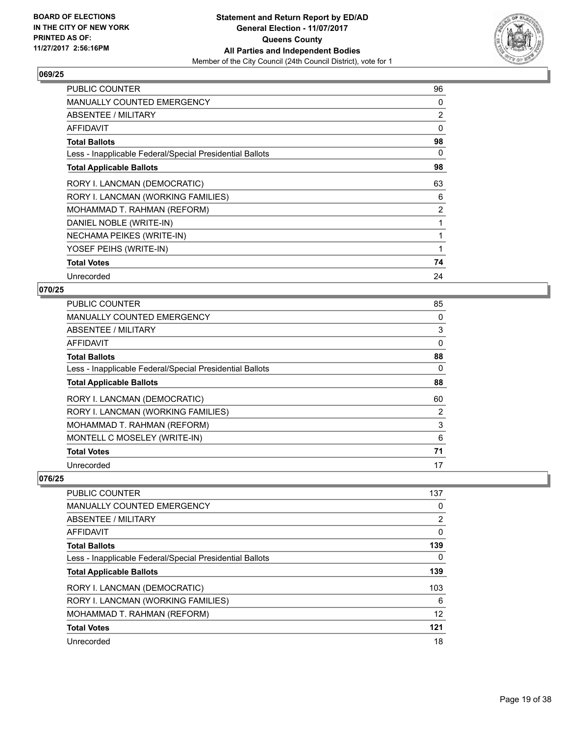

| <b>PUBLIC COUNTER</b>                                    | 96             |
|----------------------------------------------------------|----------------|
| <b>MANUALLY COUNTED EMERGENCY</b>                        | 0              |
| ABSENTEE / MILITARY                                      | $\overline{2}$ |
| AFFIDAVIT                                                | 0              |
| <b>Total Ballots</b>                                     | 98             |
| Less - Inapplicable Federal/Special Presidential Ballots | 0              |
| <b>Total Applicable Ballots</b>                          | 98             |
| RORY I. LANCMAN (DEMOCRATIC)                             | 63             |
| RORY I. LANCMAN (WORKING FAMILIES)                       | 6              |
| MOHAMMAD T. RAHMAN (REFORM)                              | $\overline{2}$ |
| DANIEL NOBLE (WRITE-IN)                                  |                |
| NECHAMA PEIKES (WRITE-IN)                                |                |
| YOSEF PEIHS (WRITE-IN)                                   | 1              |
| <b>Total Votes</b>                                       | 74             |
| Unrecorded                                               | 24             |

## **070/25**

| <b>PUBLIC COUNTER</b>                                    | 85             |
|----------------------------------------------------------|----------------|
| <b>MANUALLY COUNTED EMERGENCY</b>                        | 0              |
| ABSENTEE / MILITARY                                      | 3              |
| <b>AFFIDAVIT</b>                                         | 0              |
| <b>Total Ballots</b>                                     | 88             |
| Less - Inapplicable Federal/Special Presidential Ballots | 0              |
| <b>Total Applicable Ballots</b>                          | 88             |
| RORY I. LANCMAN (DEMOCRATIC)                             | 60             |
| RORY I. LANCMAN (WORKING FAMILIES)                       | $\overline{2}$ |
| MOHAMMAD T. RAHMAN (REFORM)                              | 3              |
| MONTELL C MOSELEY (WRITE-IN)                             | 6              |
| <b>Total Votes</b>                                       | 71             |
| Unrecorded                                               | 17             |

| PUBLIC COUNTER                                           | 137 |
|----------------------------------------------------------|-----|
| MANUALLY COUNTED EMERGENCY                               | 0   |
| ABSENTEE / MILITARY                                      | 2   |
| AFFIDAVIT                                                | 0   |
| <b>Total Ballots</b>                                     | 139 |
| Less - Inapplicable Federal/Special Presidential Ballots | 0   |
| <b>Total Applicable Ballots</b>                          | 139 |
| RORY I. LANCMAN (DEMOCRATIC)                             | 103 |
| RORY I. LANCMAN (WORKING FAMILIES)                       | 6   |
| MOHAMMAD T. RAHMAN (REFORM)                              | 12  |
| <b>Total Votes</b>                                       | 121 |
| Unrecorded                                               | 18  |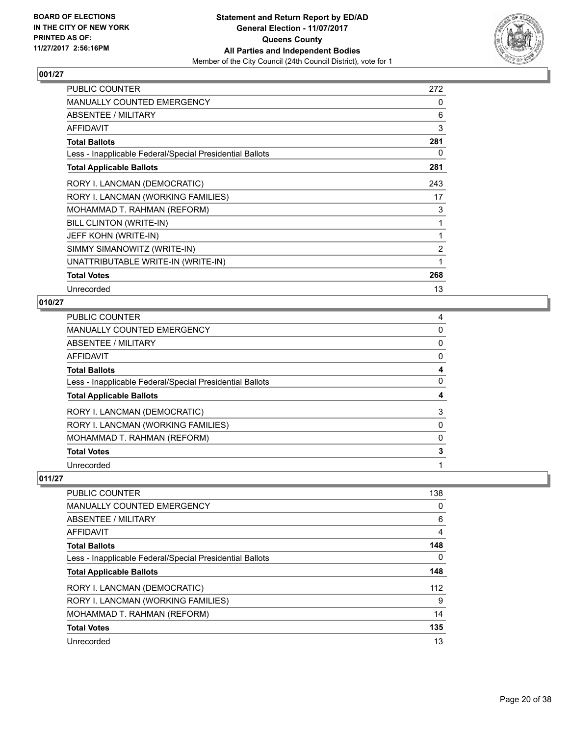

| <b>PUBLIC COUNTER</b>                                    | 272            |
|----------------------------------------------------------|----------------|
| <b>MANUALLY COUNTED EMERGENCY</b>                        | 0              |
| ABSENTEE / MILITARY                                      | 6              |
| <b>AFFIDAVIT</b>                                         | 3              |
| <b>Total Ballots</b>                                     | 281            |
| Less - Inapplicable Federal/Special Presidential Ballots | 0              |
| <b>Total Applicable Ballots</b>                          | 281            |
| RORY I. LANCMAN (DEMOCRATIC)                             | 243            |
| RORY I. LANCMAN (WORKING FAMILIES)                       | 17             |
| MOHAMMAD T. RAHMAN (REFORM)                              | 3              |
| BILL CLINTON (WRITE-IN)                                  | 1              |
| JEFF KOHN (WRITE-IN)                                     | 1              |
| SIMMY SIMANOWITZ (WRITE-IN)                              | $\overline{2}$ |
| UNATTRIBUTABLE WRITE-IN (WRITE-IN)                       | 1              |
| <b>Total Votes</b>                                       | 268            |
| Unrecorded                                               | 13             |

# **010/27**

| PUBLIC COUNTER                                           | 4 |
|----------------------------------------------------------|---|
| <b>MANUALLY COUNTED EMERGENCY</b>                        | 0 |
| <b>ABSENTEE / MILITARY</b>                               | 0 |
| AFFIDAVIT                                                | 0 |
| <b>Total Ballots</b>                                     | 4 |
| Less - Inapplicable Federal/Special Presidential Ballots | 0 |
| <b>Total Applicable Ballots</b>                          | 4 |
| RORY I. LANCMAN (DEMOCRATIC)                             | 3 |
| RORY I. LANCMAN (WORKING FAMILIES)                       | 0 |
| MOHAMMAD T. RAHMAN (REFORM)                              | 0 |
| <b>Total Votes</b>                                       | 3 |
| Unrecorded                                               |   |

| <b>PUBLIC COUNTER</b>                                    | 138 |
|----------------------------------------------------------|-----|
| MANUALLY COUNTED EMERGENCY                               | 0   |
| ABSENTEE / MILITARY                                      | 6   |
| AFFIDAVIT                                                | 4   |
| <b>Total Ballots</b>                                     | 148 |
| Less - Inapplicable Federal/Special Presidential Ballots | 0   |
| <b>Total Applicable Ballots</b>                          | 148 |
| RORY I. LANCMAN (DEMOCRATIC)                             | 112 |
| RORY I. LANCMAN (WORKING FAMILIES)                       | 9   |
| MOHAMMAD T. RAHMAN (REFORM)                              | 14  |
| <b>Total Votes</b>                                       | 135 |
| Unrecorded                                               | 13  |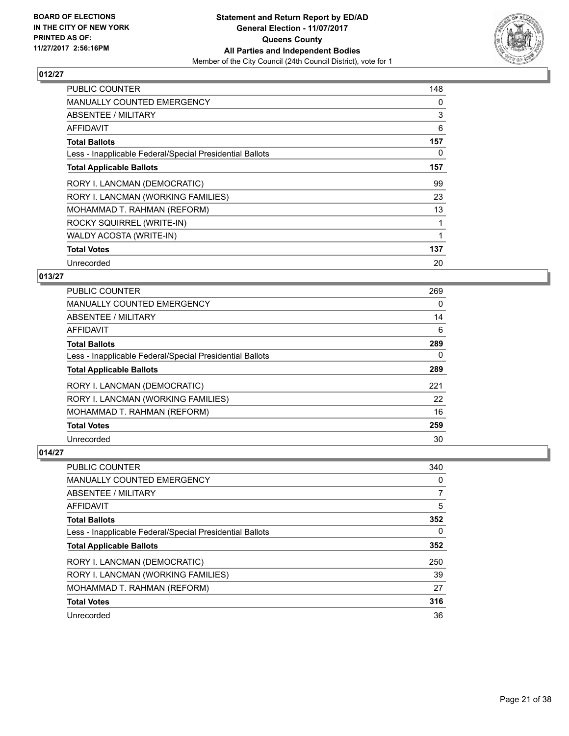

| <b>PUBLIC COUNTER</b>                                    | 148 |
|----------------------------------------------------------|-----|
| <b>MANUALLY COUNTED EMERGENCY</b>                        | 0   |
| ABSENTEE / MILITARY                                      | 3   |
| AFFIDAVIT                                                | 6   |
| <b>Total Ballots</b>                                     | 157 |
| Less - Inapplicable Federal/Special Presidential Ballots | 0   |
| <b>Total Applicable Ballots</b>                          | 157 |
| RORY I. LANCMAN (DEMOCRATIC)                             | 99  |
| RORY I. LANCMAN (WORKING FAMILIES)                       | 23  |
| MOHAMMAD T. RAHMAN (REFORM)                              | 13  |
| ROCKY SQUIRREL (WRITE-IN)                                |     |
| WALDY ACOSTA (WRITE-IN)                                  |     |
| <b>Total Votes</b>                                       | 137 |
| Unrecorded                                               | 20  |

# **013/27**

| <b>PUBLIC COUNTER</b>                                    | 269 |
|----------------------------------------------------------|-----|
| <b>MANUALLY COUNTED EMERGENCY</b>                        | 0   |
| ABSENTEE / MILITARY                                      | 14  |
| AFFIDAVIT                                                | 6   |
| <b>Total Ballots</b>                                     | 289 |
| Less - Inapplicable Federal/Special Presidential Ballots | 0   |
| <b>Total Applicable Ballots</b>                          | 289 |
| RORY I. LANCMAN (DEMOCRATIC)                             | 221 |
| RORY I. LANCMAN (WORKING FAMILIES)                       | 22  |
| MOHAMMAD T. RAHMAN (REFORM)                              | 16  |
| <b>Total Votes</b>                                       | 259 |
| Unrecorded                                               | 30  |

| <b>PUBLIC COUNTER</b>                                    | 340 |
|----------------------------------------------------------|-----|
| <b>MANUALLY COUNTED EMERGENCY</b>                        | 0   |
| ABSENTEE / MILITARY                                      | 7   |
| AFFIDAVIT                                                | 5   |
| <b>Total Ballots</b>                                     | 352 |
| Less - Inapplicable Federal/Special Presidential Ballots | 0   |
| <b>Total Applicable Ballots</b>                          | 352 |
| RORY I. LANCMAN (DEMOCRATIC)                             | 250 |
| RORY I. LANCMAN (WORKING FAMILIES)                       | 39  |
| MOHAMMAD T. RAHMAN (REFORM)                              | 27  |
| <b>Total Votes</b>                                       | 316 |
| Unrecorded                                               | 36  |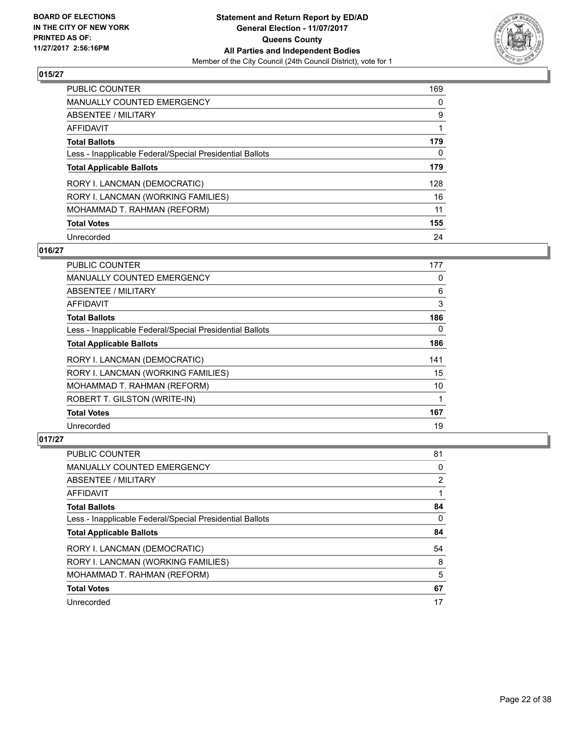

| <b>PUBLIC COUNTER</b>                                    | 169 |
|----------------------------------------------------------|-----|
| <b>MANUALLY COUNTED EMERGENCY</b>                        | 0   |
| ABSENTEE / MILITARY                                      | 9   |
| AFFIDAVIT                                                |     |
| <b>Total Ballots</b>                                     | 179 |
| Less - Inapplicable Federal/Special Presidential Ballots | 0   |
| <b>Total Applicable Ballots</b>                          | 179 |
| RORY I. LANCMAN (DEMOCRATIC)                             | 128 |
| RORY I. LANCMAN (WORKING FAMILIES)                       | 16  |
| MOHAMMAD T. RAHMAN (REFORM)                              | 11  |
| <b>Total Votes</b>                                       | 155 |
| Unrecorded                                               | 24  |

# **016/27**

| PUBLIC COUNTER                                           | 177 |
|----------------------------------------------------------|-----|
| <b>MANUALLY COUNTED EMERGENCY</b>                        | 0   |
| ABSENTEE / MILITARY                                      | 6   |
| AFFIDAVIT                                                | 3   |
| <b>Total Ballots</b>                                     | 186 |
| Less - Inapplicable Federal/Special Presidential Ballots | 0   |
| <b>Total Applicable Ballots</b>                          | 186 |
| RORY I. LANCMAN (DEMOCRATIC)                             | 141 |
| RORY I. LANCMAN (WORKING FAMILIES)                       | 15  |
| MOHAMMAD T. RAHMAN (REFORM)                              | 10  |
| ROBERT T. GILSTON (WRITE-IN)                             | 1   |
| <b>Total Votes</b>                                       | 167 |
| Unrecorded                                               | 19  |

| <b>PUBLIC COUNTER</b>                                    | 81 |
|----------------------------------------------------------|----|
| <b>MANUALLY COUNTED EMERGENCY</b>                        | 0  |
| ABSENTEE / MILITARY                                      | 2  |
| AFFIDAVIT                                                |    |
| <b>Total Ballots</b>                                     | 84 |
| Less - Inapplicable Federal/Special Presidential Ballots | 0  |
| <b>Total Applicable Ballots</b>                          | 84 |
| RORY I. LANCMAN (DEMOCRATIC)                             | 54 |
| RORY I. LANCMAN (WORKING FAMILIES)                       | 8  |
|                                                          |    |
| MOHAMMAD T. RAHMAN (REFORM)                              | 5  |
| <b>Total Votes</b>                                       | 67 |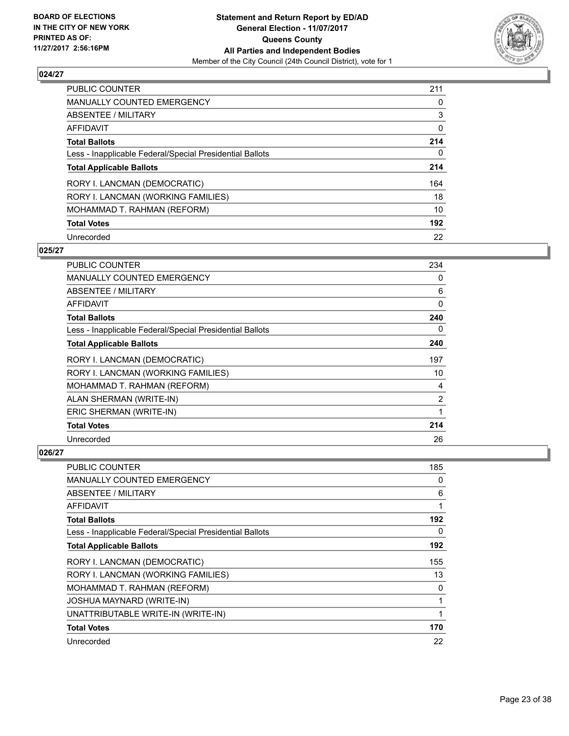

| <b>PUBLIC COUNTER</b>                                    | 211 |
|----------------------------------------------------------|-----|
| <b>MANUALLY COUNTED EMERGENCY</b>                        | 0   |
| ABSENTEE / MILITARY                                      | 3   |
| AFFIDAVIT                                                | 0   |
| <b>Total Ballots</b>                                     | 214 |
| Less - Inapplicable Federal/Special Presidential Ballots | 0   |
| <b>Total Applicable Ballots</b>                          | 214 |
| RORY I. LANCMAN (DEMOCRATIC)                             | 164 |
| RORY I. LANCMAN (WORKING FAMILIES)                       | 18  |
| MOHAMMAD T. RAHMAN (REFORM)                              | 10  |
| <b>Total Votes</b>                                       | 192 |
| Unrecorded                                               | 22  |

#### **025/27**

| PUBLIC COUNTER                                           | 234      |
|----------------------------------------------------------|----------|
| <b>MANUALLY COUNTED EMERGENCY</b>                        | 0        |
| ABSENTEE / MILITARY                                      | 6        |
| <b>AFFIDAVIT</b>                                         | $\Omega$ |
| <b>Total Ballots</b>                                     | 240      |
| Less - Inapplicable Federal/Special Presidential Ballots | 0        |
| <b>Total Applicable Ballots</b>                          | 240      |
| RORY I. LANCMAN (DEMOCRATIC)                             | 197      |
| RORY I. LANCMAN (WORKING FAMILIES)                       | 10       |
| MOHAMMAD T. RAHMAN (REFORM)                              | 4        |
| ALAN SHERMAN (WRITE-IN)                                  | 2        |
| ERIC SHERMAN (WRITE-IN)                                  | 1        |
| <b>Total Votes</b>                                       | 214      |
| Unrecorded                                               | 26       |

| PUBLIC COUNTER                                           | 185 |
|----------------------------------------------------------|-----|
| <b>MANUALLY COUNTED EMERGENCY</b>                        | 0   |
| ABSENTEE / MILITARY                                      | 6   |
| AFFIDAVIT                                                | 1   |
| <b>Total Ballots</b>                                     | 192 |
| Less - Inapplicable Federal/Special Presidential Ballots | 0   |
| <b>Total Applicable Ballots</b>                          | 192 |
| RORY I. LANCMAN (DEMOCRATIC)                             | 155 |
| RORY I. LANCMAN (WORKING FAMILIES)                       | 13  |
| MOHAMMAD T. RAHMAN (REFORM)                              | 0   |
| <b>JOSHUA MAYNARD (WRITE-IN)</b>                         | 1   |
| UNATTRIBUTABLE WRITE-IN (WRITE-IN)                       | 1   |
| <b>Total Votes</b>                                       | 170 |
| Unrecorded                                               | 22  |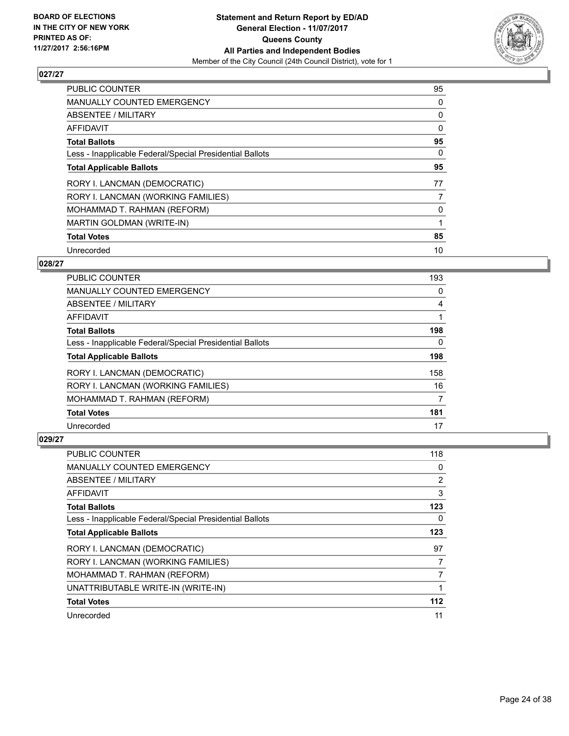

| <b>PUBLIC COUNTER</b>                                    | 95 |
|----------------------------------------------------------|----|
| <b>MANUALLY COUNTED EMERGENCY</b>                        | 0  |
| ABSENTEE / MILITARY                                      | 0  |
| AFFIDAVIT                                                | 0  |
| <b>Total Ballots</b>                                     | 95 |
| Less - Inapplicable Federal/Special Presidential Ballots | 0  |
| <b>Total Applicable Ballots</b>                          | 95 |
| RORY I. LANCMAN (DEMOCRATIC)                             | 77 |
| RORY I. LANCMAN (WORKING FAMILIES)                       | 7  |
| MOHAMMAD T. RAHMAN (REFORM)                              | 0  |
| MARTIN GOLDMAN (WRITE-IN)                                |    |
| <b>Total Votes</b>                                       | 85 |
| Unrecorded                                               | 10 |

#### **028/27**

| <b>PUBLIC COUNTER</b>                                    | 193 |
|----------------------------------------------------------|-----|
| <b>MANUALLY COUNTED EMERGENCY</b>                        | 0   |
| ABSENTEE / MILITARY                                      | 4   |
| AFFIDAVIT                                                |     |
| <b>Total Ballots</b>                                     | 198 |
| Less - Inapplicable Federal/Special Presidential Ballots | 0   |
| <b>Total Applicable Ballots</b>                          | 198 |
| RORY I. LANCMAN (DEMOCRATIC)                             | 158 |
| RORY I. LANCMAN (WORKING FAMILIES)                       | 16  |
| MOHAMMAD T. RAHMAN (REFORM)                              | 7   |
| <b>Total Votes</b>                                       | 181 |
| Unrecorded                                               | 17  |

| <b>PUBLIC COUNTER</b>                                    | 118   |
|----------------------------------------------------------|-------|
| <b>MANUALLY COUNTED EMERGENCY</b>                        | 0     |
| ABSENTEE / MILITARY                                      | 2     |
| AFFIDAVIT                                                | 3     |
| <b>Total Ballots</b>                                     | 123   |
| Less - Inapplicable Federal/Special Presidential Ballots | 0     |
| <b>Total Applicable Ballots</b>                          | 123   |
| RORY I. LANCMAN (DEMOCRATIC)                             | 97    |
| RORY I. LANCMAN (WORKING FAMILIES)                       | 7     |
| MOHAMMAD T. RAHMAN (REFORM)                              | 7     |
| UNATTRIBUTABLE WRITE-IN (WRITE-IN)                       |       |
| <b>Total Votes</b>                                       | $112$ |
| Unrecorded                                               | 11    |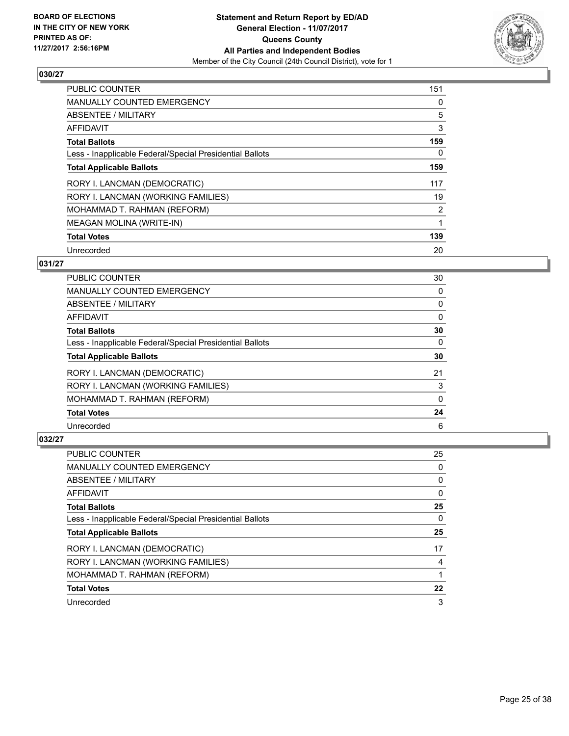

| <b>PUBLIC COUNTER</b>                                    | 151            |
|----------------------------------------------------------|----------------|
| <b>MANUALLY COUNTED EMERGENCY</b>                        | 0              |
| ABSENTEE / MILITARY                                      | 5              |
| AFFIDAVIT                                                | 3              |
| <b>Total Ballots</b>                                     | 159            |
| Less - Inapplicable Federal/Special Presidential Ballots | 0              |
| <b>Total Applicable Ballots</b>                          | 159            |
| RORY I. LANCMAN (DEMOCRATIC)                             | 117            |
| RORY I. LANCMAN (WORKING FAMILIES)                       | 19             |
| MOHAMMAD T. RAHMAN (REFORM)                              | $\overline{2}$ |
| <b>MEAGAN MOLINA (WRITE-IN)</b>                          |                |
| <b>Total Votes</b>                                       | 139            |
| Unrecorded                                               | 20             |

# **031/27**

| <b>PUBLIC COUNTER</b>                                    | 30 |
|----------------------------------------------------------|----|
| <b>MANUALLY COUNTED EMERGENCY</b>                        | 0  |
| ABSENTEE / MILITARY                                      | 0  |
| AFFIDAVIT                                                | 0  |
| <b>Total Ballots</b>                                     | 30 |
| Less - Inapplicable Federal/Special Presidential Ballots | 0  |
| <b>Total Applicable Ballots</b>                          | 30 |
| RORY I. LANCMAN (DEMOCRATIC)                             | 21 |
| RORY I. LANCMAN (WORKING FAMILIES)                       | 3  |
| MOHAMMAD T. RAHMAN (REFORM)                              | 0  |
| <b>Total Votes</b>                                       | 24 |
| Unrecorded                                               | 6  |

| <b>PUBLIC COUNTER</b>                                    | 25 |
|----------------------------------------------------------|----|
| <b>MANUALLY COUNTED EMERGENCY</b>                        | 0  |
| ABSENTEE / MILITARY                                      | 0  |
| AFFIDAVIT                                                | 0  |
| <b>Total Ballots</b>                                     | 25 |
| Less - Inapplicable Federal/Special Presidential Ballots | 0  |
| <b>Total Applicable Ballots</b>                          | 25 |
| RORY I. LANCMAN (DEMOCRATIC)                             | 17 |
| RORY I. LANCMAN (WORKING FAMILIES)                       | 4  |
| MOHAMMAD T. RAHMAN (REFORM)                              |    |
| <b>Total Votes</b>                                       | 22 |
| Unrecorded                                               | 3  |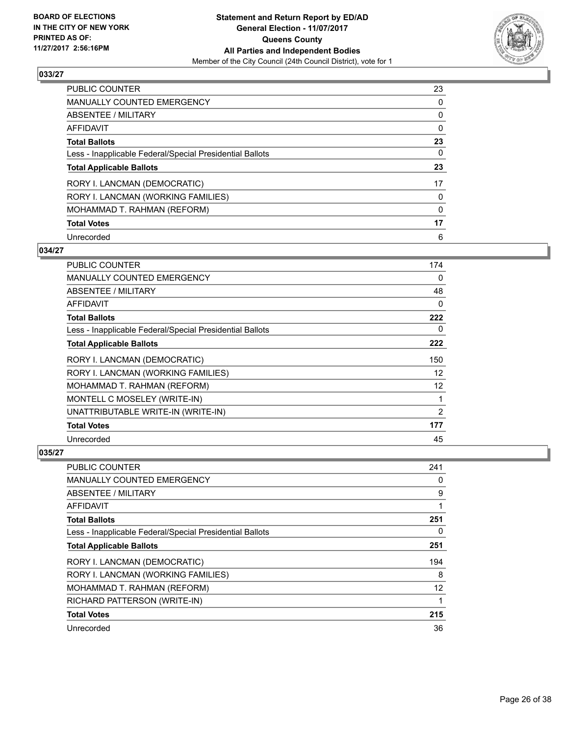

| <b>PUBLIC COUNTER</b>                                    | 23 |
|----------------------------------------------------------|----|
| MANUALLY COUNTED EMERGENCY                               | 0  |
| ABSENTEE / MILITARY                                      | 0  |
| AFFIDAVIT                                                | 0  |
| <b>Total Ballots</b>                                     | 23 |
| Less - Inapplicable Federal/Special Presidential Ballots | 0  |
| <b>Total Applicable Ballots</b>                          | 23 |
| RORY I. LANCMAN (DEMOCRATIC)                             | 17 |
| RORY I. LANCMAN (WORKING FAMILIES)                       | 0  |
| MOHAMMAD T. RAHMAN (REFORM)                              | 0  |
| <b>Total Votes</b>                                       | 17 |
| Unrecorded                                               | 6  |

#### **034/27**

| <b>PUBLIC COUNTER</b>                                    | 174               |
|----------------------------------------------------------|-------------------|
| MANUALLY COUNTED EMERGENCY                               | 0                 |
| ABSENTEE / MILITARY                                      | 48                |
| AFFIDAVIT                                                | 0                 |
| <b>Total Ballots</b>                                     | 222               |
| Less - Inapplicable Federal/Special Presidential Ballots | 0                 |
| <b>Total Applicable Ballots</b>                          | 222               |
| RORY I. LANCMAN (DEMOCRATIC)                             | 150               |
| RORY I. LANCMAN (WORKING FAMILIES)                       | $12 \overline{ }$ |
| MOHAMMAD T. RAHMAN (REFORM)                              | 12                |
| MONTELL C MOSELEY (WRITE-IN)                             | 1                 |
| UNATTRIBUTABLE WRITE-IN (WRITE-IN)                       | 2                 |
| <b>Total Votes</b>                                       | 177               |
| Unrecorded                                               | 45                |

| <b>PUBLIC COUNTER</b>                                    | 241 |
|----------------------------------------------------------|-----|
| <b>MANUALLY COUNTED EMERGENCY</b>                        | 0   |
| ABSENTEE / MILITARY                                      | 9   |
| AFFIDAVIT                                                | 1   |
| <b>Total Ballots</b>                                     | 251 |
| Less - Inapplicable Federal/Special Presidential Ballots | 0   |
| <b>Total Applicable Ballots</b>                          | 251 |
| RORY I. LANCMAN (DEMOCRATIC)                             | 194 |
| RORY I. LANCMAN (WORKING FAMILIES)                       | 8   |
| MOHAMMAD T. RAHMAN (REFORM)                              | 12  |
| RICHARD PATTERSON (WRITE-IN)                             | 1   |
| <b>Total Votes</b>                                       | 215 |
| Unrecorded                                               | 36  |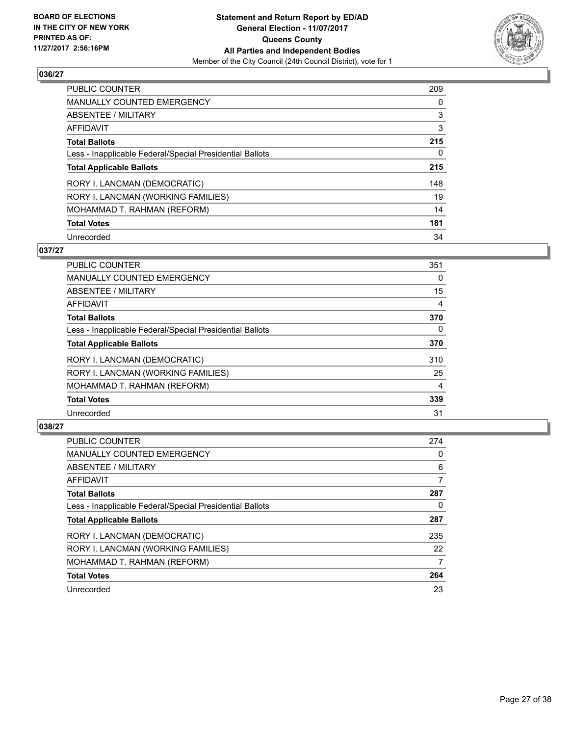

| <b>PUBLIC COUNTER</b>                                    | 209 |
|----------------------------------------------------------|-----|
| <b>MANUALLY COUNTED EMERGENCY</b>                        | 0   |
| ABSENTEE / MILITARY                                      | 3   |
| AFFIDAVIT                                                | 3   |
| <b>Total Ballots</b>                                     | 215 |
| Less - Inapplicable Federal/Special Presidential Ballots | 0   |
| <b>Total Applicable Ballots</b>                          | 215 |
| RORY I. LANCMAN (DEMOCRATIC)                             | 148 |
| RORY I. LANCMAN (WORKING FAMILIES)                       | 19  |
| MOHAMMAD T. RAHMAN (REFORM)                              | 14  |
| <b>Total Votes</b>                                       | 181 |
| Unrecorded                                               | 34  |

#### **037/27**

| <b>PUBLIC COUNTER</b>                                    | 351      |
|----------------------------------------------------------|----------|
| <b>MANUALLY COUNTED EMERGENCY</b>                        | 0        |
| ABSENTEE / MILITARY                                      | 15       |
| <b>AFFIDAVIT</b>                                         | 4        |
| <b>Total Ballots</b>                                     | 370      |
| Less - Inapplicable Federal/Special Presidential Ballots | $\Omega$ |
| <b>Total Applicable Ballots</b>                          | 370      |
| RORY I. LANCMAN (DEMOCRATIC)                             | 310      |
| RORY I. LANCMAN (WORKING FAMILIES)                       | 25       |
| MOHAMMAD T. RAHMAN (REFORM)                              | 4        |
| <b>Total Votes</b>                                       | 339      |
| Unrecorded                                               | 31       |

| <b>PUBLIC COUNTER</b>                                    | 274 |
|----------------------------------------------------------|-----|
| <b>MANUALLY COUNTED EMERGENCY</b>                        | 0   |
| ABSENTEE / MILITARY                                      | 6   |
| AFFIDAVIT                                                | 7   |
| <b>Total Ballots</b>                                     | 287 |
| Less - Inapplicable Federal/Special Presidential Ballots | 0   |
| <b>Total Applicable Ballots</b>                          | 287 |
| RORY I. LANCMAN (DEMOCRATIC)                             | 235 |
| RORY I. LANCMAN (WORKING FAMILIES)                       | 22  |
| MOHAMMAD T. RAHMAN (REFORM)                              | 7   |
| <b>Total Votes</b>                                       | 264 |
| Unrecorded                                               | 23  |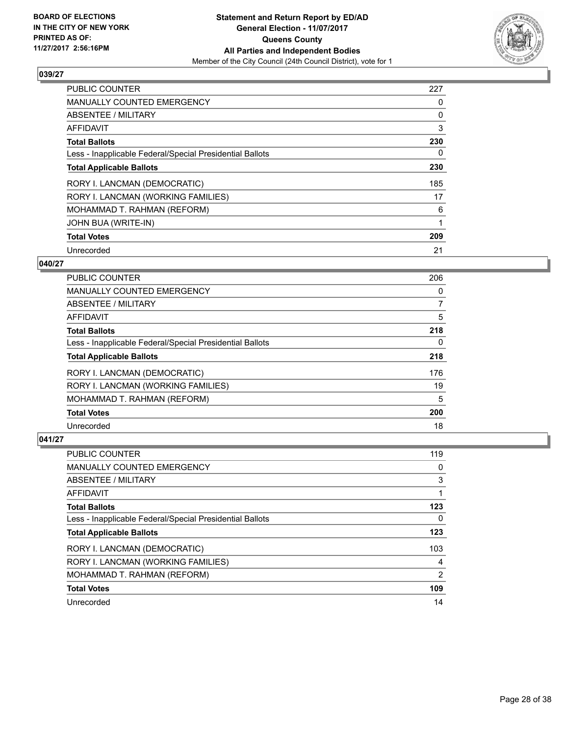

| <b>PUBLIC COUNTER</b>                                    | 227 |
|----------------------------------------------------------|-----|
| <b>MANUALLY COUNTED EMERGENCY</b>                        | 0   |
| ABSENTEE / MILITARY                                      | 0   |
| <b>AFFIDAVIT</b>                                         | 3   |
| <b>Total Ballots</b>                                     | 230 |
| Less - Inapplicable Federal/Special Presidential Ballots | 0   |
| <b>Total Applicable Ballots</b>                          | 230 |
| RORY I. LANCMAN (DEMOCRATIC)                             | 185 |
| RORY I. LANCMAN (WORKING FAMILIES)                       | 17  |
| MOHAMMAD T. RAHMAN (REFORM)                              | 6   |
| JOHN BUA (WRITE-IN)                                      |     |
| <b>Total Votes</b>                                       | 209 |
| Unrecorded                                               | 21  |

#### **040/27**

| <b>PUBLIC COUNTER</b>                                    | 206 |
|----------------------------------------------------------|-----|
| <b>MANUALLY COUNTED EMERGENCY</b>                        | 0   |
| ABSENTEE / MILITARY                                      | 7   |
| AFFIDAVIT                                                | 5   |
| <b>Total Ballots</b>                                     | 218 |
| Less - Inapplicable Federal/Special Presidential Ballots | 0   |
| <b>Total Applicable Ballots</b>                          | 218 |
| RORY I. LANCMAN (DEMOCRATIC)                             | 176 |
| RORY I. LANCMAN (WORKING FAMILIES)                       | 19  |
| MOHAMMAD T. RAHMAN (REFORM)                              | 5   |
| <b>Total Votes</b>                                       | 200 |
| Unrecorded                                               | 18  |

| <b>PUBLIC COUNTER</b>                                    | 119            |
|----------------------------------------------------------|----------------|
| <b>MANUALLY COUNTED EMERGENCY</b>                        | 0              |
| ABSENTEE / MILITARY                                      | 3              |
| AFFIDAVIT                                                |                |
| <b>Total Ballots</b>                                     | 123            |
| Less - Inapplicable Federal/Special Presidential Ballots | 0              |
| <b>Total Applicable Ballots</b>                          | 123            |
| RORY I. LANCMAN (DEMOCRATIC)                             | 103            |
| RORY I. LANCMAN (WORKING FAMILIES)                       | 4              |
| MOHAMMAD T. RAHMAN (REFORM)                              | $\overline{2}$ |
| <b>Total Votes</b>                                       | 109            |
| Unrecorded                                               | 14             |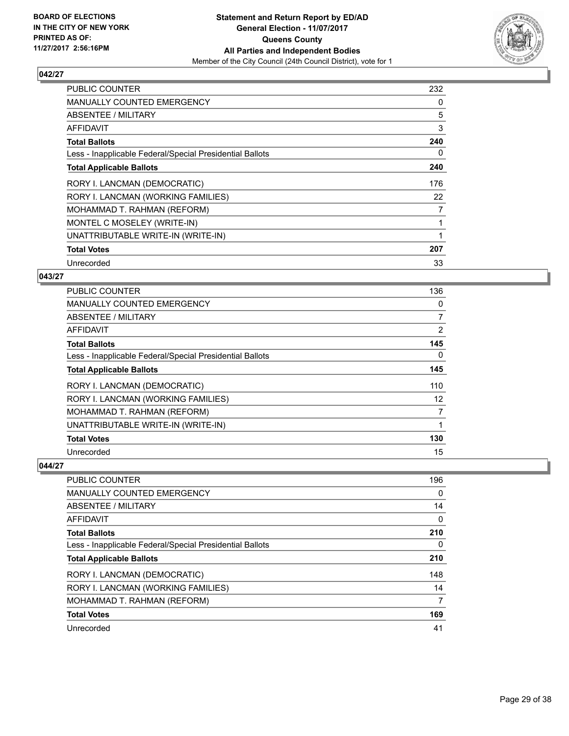

| <b>PUBLIC COUNTER</b>                                    | 232 |
|----------------------------------------------------------|-----|
| MANUALLY COUNTED EMERGENCY                               | 0   |
| ABSENTEE / MILITARY                                      | 5   |
| AFFIDAVIT                                                | 3   |
| <b>Total Ballots</b>                                     | 240 |
| Less - Inapplicable Federal/Special Presidential Ballots | 0   |
| <b>Total Applicable Ballots</b>                          | 240 |
| RORY I. LANCMAN (DEMOCRATIC)                             | 176 |
| RORY I. LANCMAN (WORKING FAMILIES)                       | 22  |
| MOHAMMAD T. RAHMAN (REFORM)                              | 7   |
| MONTEL C MOSELEY (WRITE-IN)                              |     |
| UNATTRIBUTABLE WRITE-IN (WRITE-IN)                       |     |
| <b>Total Votes</b>                                       | 207 |
| Unrecorded                                               | 33  |

# **043/27**

| PUBLIC COUNTER                                           | 136               |
|----------------------------------------------------------|-------------------|
| <b>MANUALLY COUNTED EMERGENCY</b>                        | 0                 |
| ABSENTEE / MILITARY                                      | 7                 |
| AFFIDAVIT                                                | 2                 |
| <b>Total Ballots</b>                                     | 145               |
| Less - Inapplicable Federal/Special Presidential Ballots | 0                 |
| <b>Total Applicable Ballots</b>                          | 145               |
| RORY I. LANCMAN (DEMOCRATIC)                             | 110               |
| RORY I. LANCMAN (WORKING FAMILIES)                       | $12 \overline{ }$ |
| MOHAMMAD T. RAHMAN (REFORM)                              | 7                 |
| UNATTRIBUTABLE WRITE-IN (WRITE-IN)                       |                   |
| <b>Total Votes</b>                                       | 130               |
| Unrecorded                                               | 15                |

| <b>PUBLIC COUNTER</b>                                    | 196 |
|----------------------------------------------------------|-----|
| <b>MANUALLY COUNTED EMERGENCY</b>                        | 0   |
| ABSENTEE / MILITARY                                      | 14  |
| AFFIDAVIT                                                | 0   |
| <b>Total Ballots</b>                                     | 210 |
| Less - Inapplicable Federal/Special Presidential Ballots | 0   |
| <b>Total Applicable Ballots</b>                          | 210 |
| RORY I. LANCMAN (DEMOCRATIC)                             | 148 |
| RORY I. LANCMAN (WORKING FAMILIES)                       | 14  |
| MOHAMMAD T. RAHMAN (REFORM)                              | 7   |
| <b>Total Votes</b>                                       | 169 |
| Unrecorded                                               | 41  |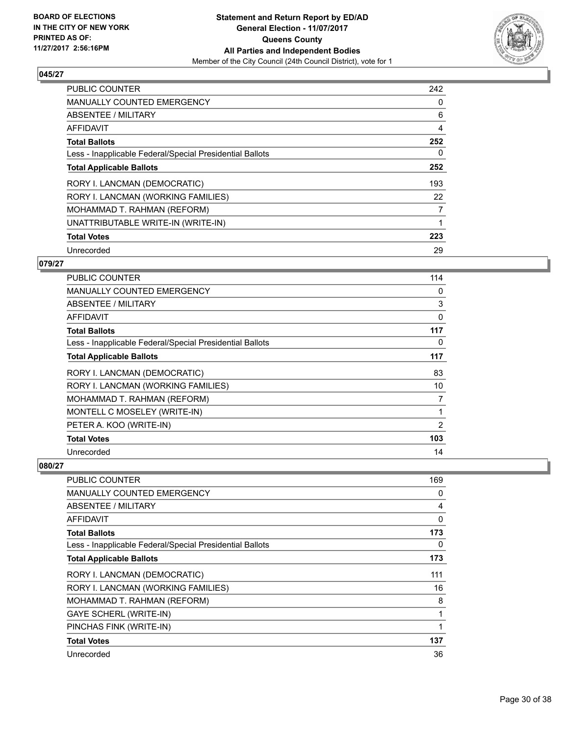

| <b>PUBLIC COUNTER</b>                                    | 242 |
|----------------------------------------------------------|-----|
| <b>MANUALLY COUNTED EMERGENCY</b>                        | 0   |
| ABSENTEE / MILITARY                                      | 6   |
| AFFIDAVIT                                                | 4   |
| <b>Total Ballots</b>                                     | 252 |
| Less - Inapplicable Federal/Special Presidential Ballots | 0   |
| <b>Total Applicable Ballots</b>                          | 252 |
| RORY I. LANCMAN (DEMOCRATIC)                             | 193 |
| RORY I. LANCMAN (WORKING FAMILIES)                       | 22  |
| MOHAMMAD T. RAHMAN (REFORM)                              | 7   |
| UNATTRIBUTABLE WRITE-IN (WRITE-IN)                       |     |
| <b>Total Votes</b>                                       | 223 |
| Unrecorded                                               | 29  |

#### **079/27**

| <b>PUBLIC COUNTER</b>                                    | 114      |
|----------------------------------------------------------|----------|
| MANUALLY COUNTED EMERGENCY                               | 0        |
| ABSENTEE / MILITARY                                      | 3        |
| AFFIDAVIT                                                | $\Omega$ |
| <b>Total Ballots</b>                                     | 117      |
| Less - Inapplicable Federal/Special Presidential Ballots | 0        |
| <b>Total Applicable Ballots</b>                          | 117      |
| RORY I. LANCMAN (DEMOCRATIC)                             | 83       |
| RORY I. LANCMAN (WORKING FAMILIES)                       | 10       |
| MOHAMMAD T. RAHMAN (REFORM)                              | 7        |
| MONTELL C MOSELEY (WRITE-IN)                             | 1        |
| PETER A. KOO (WRITE-IN)                                  | 2        |
| <b>Total Votes</b>                                       | 103      |
| Unrecorded                                               | 14       |

| <b>PUBLIC COUNTER</b>                                    | 169 |
|----------------------------------------------------------|-----|
| MANUALLY COUNTED EMERGENCY                               | 0   |
| ABSENTEE / MILITARY                                      | 4   |
| <b>AFFIDAVIT</b>                                         | 0   |
| <b>Total Ballots</b>                                     | 173 |
| Less - Inapplicable Federal/Special Presidential Ballots | 0   |
| <b>Total Applicable Ballots</b>                          | 173 |
| RORY I. LANCMAN (DEMOCRATIC)                             | 111 |
| RORY I. LANCMAN (WORKING FAMILIES)                       | 16  |
| MOHAMMAD T. RAHMAN (REFORM)                              | 8   |
| <b>GAYE SCHERL (WRITE-IN)</b>                            |     |
| PINCHAS FINK (WRITE-IN)                                  |     |
| <b>Total Votes</b>                                       | 137 |
| Unrecorded                                               | 36  |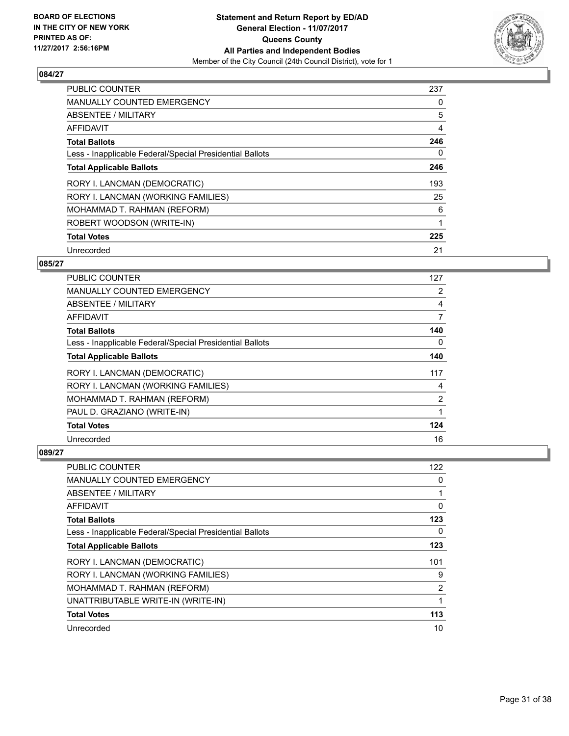

| <b>PUBLIC COUNTER</b>                                    | 237 |
|----------------------------------------------------------|-----|
| MANUALLY COUNTED EMERGENCY                               | 0   |
| ABSENTEE / MILITARY                                      | 5   |
| <b>AFFIDAVIT</b>                                         | 4   |
| <b>Total Ballots</b>                                     | 246 |
| Less - Inapplicable Federal/Special Presidential Ballots | 0   |
| <b>Total Applicable Ballots</b>                          | 246 |
| RORY I. LANCMAN (DEMOCRATIC)                             | 193 |
| RORY I. LANCMAN (WORKING FAMILIES)                       | 25  |
| MOHAMMAD T. RAHMAN (REFORM)                              | 6   |
| ROBERT WOODSON (WRITE-IN)                                |     |
| <b>Total Votes</b>                                       | 225 |
| Unrecorded                                               | 21  |

# **085/27**

| PUBLIC COUNTER                                           | 127                   |
|----------------------------------------------------------|-----------------------|
| MANUALLY COUNTED EMERGENCY                               | $\mathbf{2}^{\prime}$ |
| ABSENTEE / MILITARY                                      | 4                     |
| AFFIDAVIT                                                | 7                     |
| <b>Total Ballots</b>                                     | 140                   |
| Less - Inapplicable Federal/Special Presidential Ballots | 0                     |
| <b>Total Applicable Ballots</b>                          | 140                   |
| RORY I. LANCMAN (DEMOCRATIC)                             | 117                   |
| RORY I. LANCMAN (WORKING FAMILIES)                       | 4                     |
| MOHAMMAD T. RAHMAN (REFORM)                              | 2                     |
| PAUL D. GRAZIANO (WRITE-IN)                              |                       |
| <b>Total Votes</b>                                       | 124                   |
| Unrecorded                                               | 16                    |

| <b>PUBLIC COUNTER</b>                                    | 122            |
|----------------------------------------------------------|----------------|
| <b>MANUALLY COUNTED EMERGENCY</b>                        | 0              |
| ABSENTEE / MILITARY                                      |                |
| AFFIDAVIT                                                | 0              |
| <b>Total Ballots</b>                                     | 123            |
| Less - Inapplicable Federal/Special Presidential Ballots | 0              |
| <b>Total Applicable Ballots</b>                          | 123            |
| RORY I. LANCMAN (DEMOCRATIC)                             | 101            |
| RORY I. LANCMAN (WORKING FAMILIES)                       | 9              |
| MOHAMMAD T. RAHMAN (REFORM)                              | $\overline{2}$ |
| UNATTRIBUTABLE WRITE-IN (WRITE-IN)                       |                |
| <b>Total Votes</b>                                       | 113            |
| Unrecorded                                               | 10             |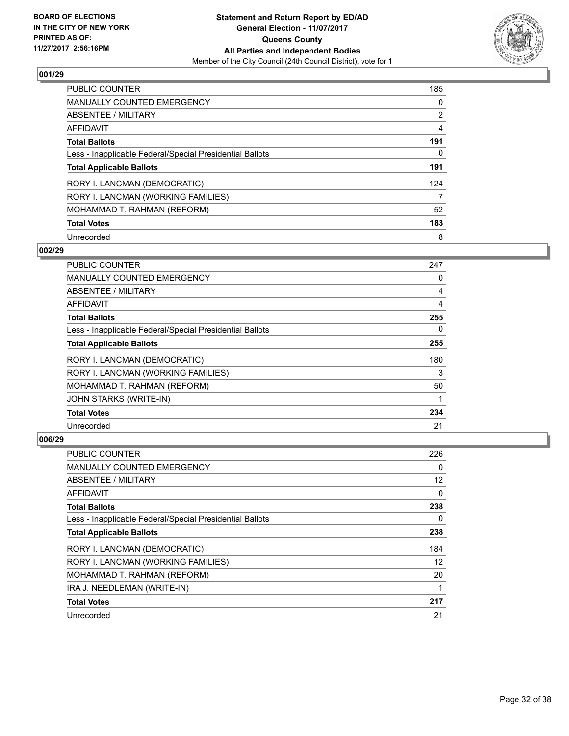

| <b>PUBLIC COUNTER</b>                                    | 185            |
|----------------------------------------------------------|----------------|
| <b>MANUALLY COUNTED EMERGENCY</b>                        | 0              |
| ABSENTEE / MILITARY                                      | $\overline{2}$ |
| AFFIDAVIT                                                | 4              |
| <b>Total Ballots</b>                                     | 191            |
| Less - Inapplicable Federal/Special Presidential Ballots | 0              |
| <b>Total Applicable Ballots</b>                          | 191            |
| RORY I. LANCMAN (DEMOCRATIC)                             | 124            |
| RORY I. LANCMAN (WORKING FAMILIES)                       | 7              |
| MOHAMMAD T. RAHMAN (REFORM)                              | 52             |
| <b>Total Votes</b>                                       | 183            |
| Unrecorded                                               | 8              |

#### **002/29**

| PUBLIC COUNTER                                           | 247 |
|----------------------------------------------------------|-----|
| <b>MANUALLY COUNTED EMERGENCY</b>                        | 0   |
| ABSENTEE / MILITARY                                      | 4   |
| AFFIDAVIT                                                | 4   |
| <b>Total Ballots</b>                                     | 255 |
| Less - Inapplicable Federal/Special Presidential Ballots | 0   |
| <b>Total Applicable Ballots</b>                          | 255 |
| RORY I. LANCMAN (DEMOCRATIC)                             | 180 |
| RORY I. LANCMAN (WORKING FAMILIES)                       | 3   |
| MOHAMMAD T. RAHMAN (REFORM)                              | 50  |
| JOHN STARKS (WRITE-IN)                                   |     |
| <b>Total Votes</b>                                       | 234 |
| Unrecorded                                               | 21  |

| <b>PUBLIC COUNTER</b>                                    | 226 |
|----------------------------------------------------------|-----|
| MANUALLY COUNTED EMERGENCY                               | 0   |
| ABSENTEE / MILITARY                                      | 12  |
| AFFIDAVIT                                                | 0   |
| <b>Total Ballots</b>                                     | 238 |
| Less - Inapplicable Federal/Special Presidential Ballots | 0   |
| <b>Total Applicable Ballots</b>                          | 238 |
| RORY I. LANCMAN (DEMOCRATIC)                             | 184 |
| RORY I. LANCMAN (WORKING FAMILIES)                       | 12  |
| MOHAMMAD T. RAHMAN (REFORM)                              | 20  |
| IRA J. NEEDLEMAN (WRITE-IN)                              |     |
| <b>Total Votes</b>                                       | 217 |
| Unrecorded                                               | 21  |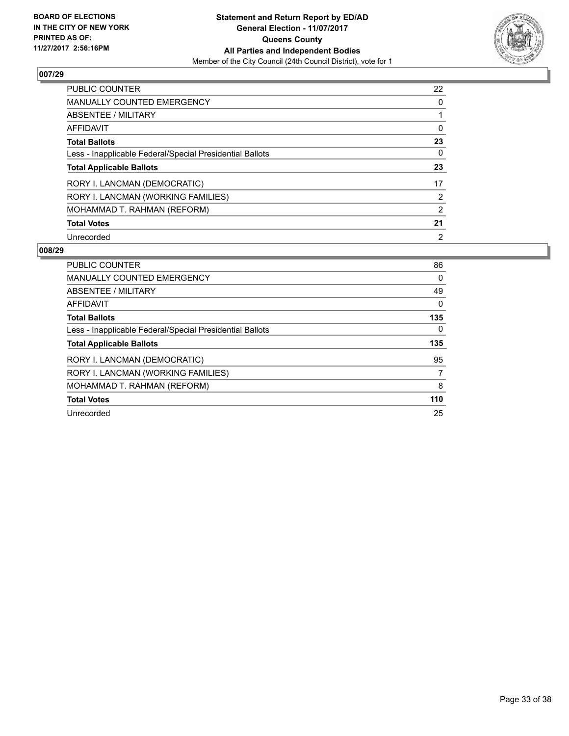

| <b>PUBLIC COUNTER</b>                                    | 22             |
|----------------------------------------------------------|----------------|
| <b>MANUALLY COUNTED EMERGENCY</b>                        | 0              |
| ABSENTEE / MILITARY                                      |                |
| <b>AFFIDAVIT</b>                                         | 0              |
| <b>Total Ballots</b>                                     | 23             |
| Less - Inapplicable Federal/Special Presidential Ballots | 0              |
| <b>Total Applicable Ballots</b>                          | 23             |
| RORY I. LANCMAN (DEMOCRATIC)                             | 17             |
| RORY I. LANCMAN (WORKING FAMILIES)                       | 2              |
| MOHAMMAD T. RAHMAN (REFORM)                              | $\overline{2}$ |
| <b>Total Votes</b>                                       | 21             |
| Unrecorded                                               | $\overline{2}$ |

| <b>PUBLIC COUNTER</b>                                    | 86  |
|----------------------------------------------------------|-----|
| <b>MANUALLY COUNTED EMERGENCY</b>                        | 0   |
| ABSENTEE / MILITARY                                      | 49  |
| AFFIDAVIT                                                | 0   |
| <b>Total Ballots</b>                                     | 135 |
| Less - Inapplicable Federal/Special Presidential Ballots | 0   |
| <b>Total Applicable Ballots</b>                          | 135 |
|                                                          |     |
| RORY I. LANCMAN (DEMOCRATIC)                             | 95  |
| RORY I. LANCMAN (WORKING FAMILIES)                       |     |
| MOHAMMAD T. RAHMAN (REFORM)                              | 8   |
| <b>Total Votes</b>                                       | 110 |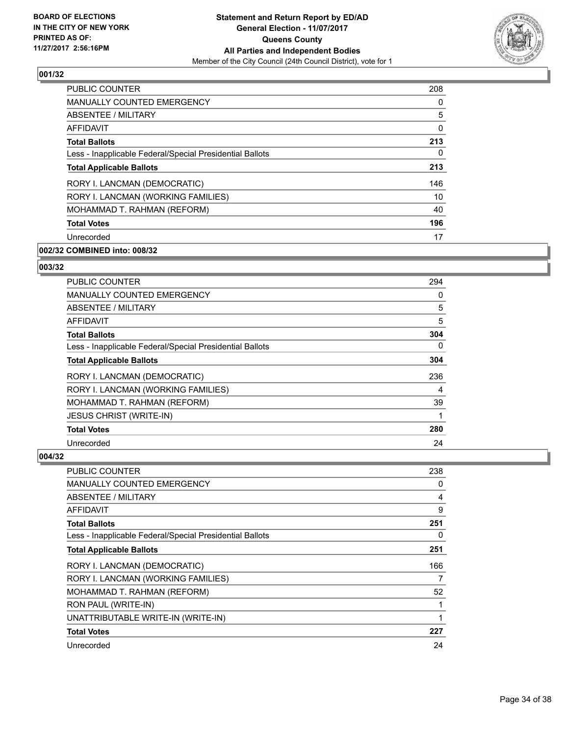

| <b>PUBLIC COUNTER</b>                                    | 208 |
|----------------------------------------------------------|-----|
| <b>MANUALLY COUNTED EMERGENCY</b>                        | 0   |
| <b>ABSENTEE / MILITARY</b>                               | 5   |
| <b>AFFIDAVIT</b>                                         | 0   |
| <b>Total Ballots</b>                                     | 213 |
| Less - Inapplicable Federal/Special Presidential Ballots | 0   |
| <b>Total Applicable Ballots</b>                          | 213 |
| RORY I. LANCMAN (DEMOCRATIC)                             | 146 |
| RORY I. LANCMAN (WORKING FAMILIES)                       | 10  |
| MOHAMMAD T. RAHMAN (REFORM)                              | 40  |
| <b>Total Votes</b>                                       | 196 |
| Unrecorded                                               | 17  |

# **002/32 COMBINED into: 008/32**

#### **003/32**

| <b>PUBLIC COUNTER</b>                                    | 294 |
|----------------------------------------------------------|-----|
| <b>MANUALLY COUNTED EMERGENCY</b>                        | 0   |
| ABSENTEE / MILITARY                                      | 5   |
| <b>AFFIDAVIT</b>                                         | 5   |
| <b>Total Ballots</b>                                     | 304 |
| Less - Inapplicable Federal/Special Presidential Ballots | 0   |
| <b>Total Applicable Ballots</b>                          | 304 |
| RORY I. LANCMAN (DEMOCRATIC)                             | 236 |
| RORY I. LANCMAN (WORKING FAMILIES)                       | 4   |
| MOHAMMAD T. RAHMAN (REFORM)                              | 39  |
| <b>JESUS CHRIST (WRITE-IN)</b>                           | 1   |
| <b>Total Votes</b>                                       | 280 |
| Unrecorded                                               | 24  |

| PUBLIC COUNTER                                           | 238 |
|----------------------------------------------------------|-----|
| <b>MANUALLY COUNTED EMERGENCY</b>                        | 0   |
| ABSENTEE / MILITARY                                      | 4   |
| AFFIDAVIT                                                | 9   |
| <b>Total Ballots</b>                                     | 251 |
| Less - Inapplicable Federal/Special Presidential Ballots | 0   |
| <b>Total Applicable Ballots</b>                          | 251 |
| RORY I. LANCMAN (DEMOCRATIC)                             | 166 |
|                                                          |     |
| RORY I. LANCMAN (WORKING FAMILIES)                       | 7   |
| MOHAMMAD T. RAHMAN (REFORM)                              | 52  |
| RON PAUL (WRITE-IN)                                      | 1   |
| UNATTRIBUTABLE WRITE-IN (WRITE-IN)                       | 1   |
| <b>Total Votes</b>                                       | 227 |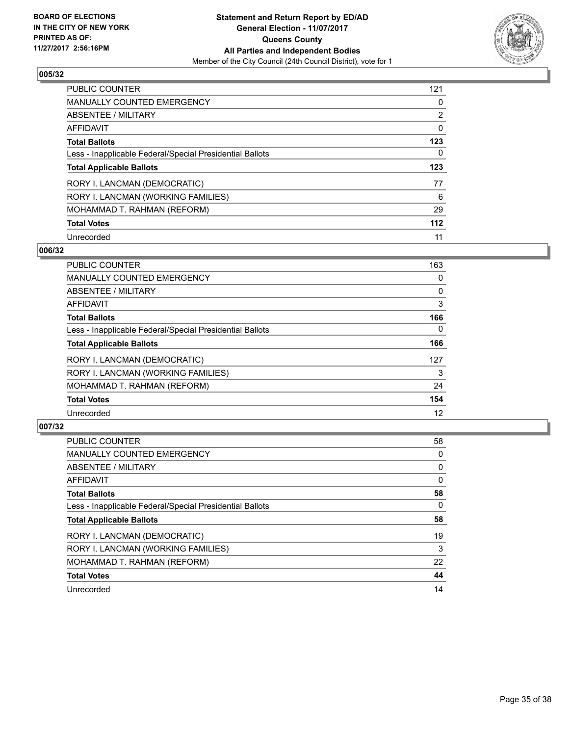

| <b>PUBLIC COUNTER</b>                                    | 121            |
|----------------------------------------------------------|----------------|
| <b>MANUALLY COUNTED EMERGENCY</b>                        | 0              |
| ABSENTEE / MILITARY                                      | $\overline{2}$ |
| AFFIDAVIT                                                | 0              |
| <b>Total Ballots</b>                                     | 123            |
| Less - Inapplicable Federal/Special Presidential Ballots | 0              |
| <b>Total Applicable Ballots</b>                          | 123            |
| RORY I. LANCMAN (DEMOCRATIC)                             | 77             |
| RORY I. LANCMAN (WORKING FAMILIES)                       | 6              |
| MOHAMMAD T. RAHMAN (REFORM)                              | 29             |
| <b>Total Votes</b>                                       | $112$          |
| Unrecorded                                               | 11             |

#### **006/32**

| <b>PUBLIC COUNTER</b>                                    | 163      |
|----------------------------------------------------------|----------|
| MANUALLY COUNTED EMERGENCY                               | 0        |
| ABSENTEE / MILITARY                                      | 0        |
| <b>AFFIDAVIT</b>                                         | 3        |
| <b>Total Ballots</b>                                     | 166      |
| Less - Inapplicable Federal/Special Presidential Ballots | $\Omega$ |
| <b>Total Applicable Ballots</b>                          | 166      |
| RORY I. LANCMAN (DEMOCRATIC)                             | 127      |
| RORY I. LANCMAN (WORKING FAMILIES)                       | 3        |
| MOHAMMAD T. RAHMAN (REFORM)                              | 24       |
| <b>Total Votes</b>                                       | 154      |
| Unrecorded                                               | 12       |

| <b>PUBLIC COUNTER</b>                                    | 58 |
|----------------------------------------------------------|----|
| <b>MANUALLY COUNTED EMERGENCY</b>                        | 0  |
| ABSENTEE / MILITARY                                      | 0  |
| AFFIDAVIT                                                | 0  |
| <b>Total Ballots</b>                                     | 58 |
| Less - Inapplicable Federal/Special Presidential Ballots | 0  |
| <b>Total Applicable Ballots</b>                          | 58 |
| RORY I. LANCMAN (DEMOCRATIC)                             | 19 |
| RORY I. LANCMAN (WORKING FAMILIES)                       | 3  |
| MOHAMMAD T. RAHMAN (REFORM)                              | 22 |
| <b>Total Votes</b>                                       | 44 |
| Unrecorded                                               | 14 |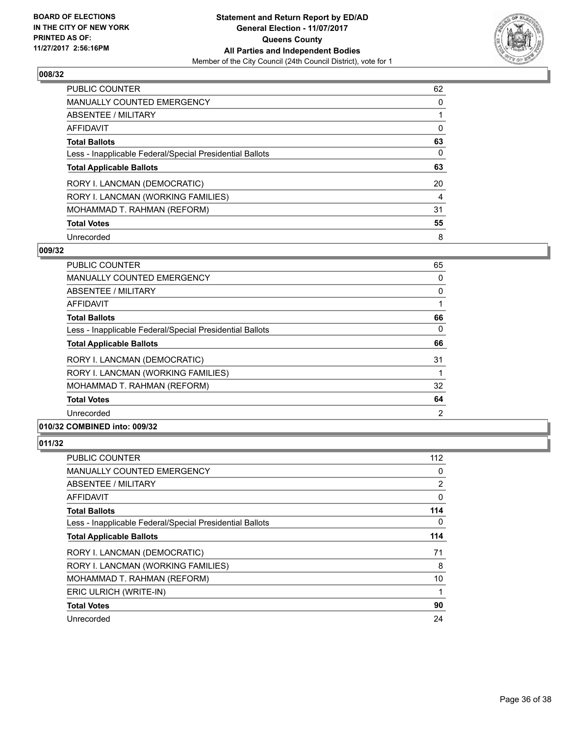

| <b>PUBLIC COUNTER</b>                                    | 62 |
|----------------------------------------------------------|----|
| <b>MANUALLY COUNTED EMERGENCY</b>                        | 0  |
| ABSENTEE / MILITARY                                      |    |
| AFFIDAVIT                                                | 0  |
| <b>Total Ballots</b>                                     | 63 |
| Less - Inapplicable Federal/Special Presidential Ballots | 0  |
| <b>Total Applicable Ballots</b>                          | 63 |
| RORY I. LANCMAN (DEMOCRATIC)                             | 20 |
| RORY I. LANCMAN (WORKING FAMILIES)                       | 4  |
| MOHAMMAD T. RAHMAN (REFORM)                              | 31 |
| <b>Total Votes</b>                                       | 55 |
| Unrecorded                                               | 8  |

#### **009/32**

| <b>PUBLIC COUNTER</b>                                                                                                                                                                                                                                                                                                                                                                                                  | 65 |
|------------------------------------------------------------------------------------------------------------------------------------------------------------------------------------------------------------------------------------------------------------------------------------------------------------------------------------------------------------------------------------------------------------------------|----|
| <b>MANUALLY COUNTED EMERGENCY</b>                                                                                                                                                                                                                                                                                                                                                                                      | 0  |
| ABSENTEE / MILITARY                                                                                                                                                                                                                                                                                                                                                                                                    | 0  |
| <b>AFFIDAVIT</b>                                                                                                                                                                                                                                                                                                                                                                                                       |    |
| <b>Total Ballots</b>                                                                                                                                                                                                                                                                                                                                                                                                   | 66 |
| Less - Inapplicable Federal/Special Presidential Ballots                                                                                                                                                                                                                                                                                                                                                               | 0  |
| <b>Total Applicable Ballots</b>                                                                                                                                                                                                                                                                                                                                                                                        | 66 |
| RORY I. LANCMAN (DEMOCRATIC)                                                                                                                                                                                                                                                                                                                                                                                           | 31 |
| RORY I. LANCMAN (WORKING FAMILIES)                                                                                                                                                                                                                                                                                                                                                                                     |    |
| MOHAMMAD T. RAHMAN (REFORM)                                                                                                                                                                                                                                                                                                                                                                                            | 32 |
| <b>Total Votes</b>                                                                                                                                                                                                                                                                                                                                                                                                     | 64 |
| Unrecorded                                                                                                                                                                                                                                                                                                                                                                                                             | 2  |
| $\mathbf{A} \mathbf{A} \mathbf{B} \mathbf{B} \mathbf{B} \mathbf{B} \mathbf{B} \mathbf{A} \mathbf{A} \mathbf{A} \mathbf{A} \mathbf{A} \mathbf{A} \mathbf{A} \mathbf{A} \mathbf{A} \mathbf{A} \mathbf{A} \mathbf{A} \mathbf{A} \mathbf{A} \mathbf{A} \mathbf{A} \mathbf{A} \mathbf{A} \mathbf{A} \mathbf{A} \mathbf{A} \mathbf{A} \mathbf{A} \mathbf{A} \mathbf{A} \mathbf{A} \mathbf{A} \mathbf{A} \mathbf{A} \mathbf{$ |    |

# **010/32 COMBINED into: 009/32**

| <b>PUBLIC COUNTER</b>                                    | 112 |
|----------------------------------------------------------|-----|
| <b>MANUALLY COUNTED EMERGENCY</b>                        | 0   |
| ABSENTEE / MILITARY                                      | 2   |
| AFFIDAVIT                                                | 0   |
| <b>Total Ballots</b>                                     | 114 |
| Less - Inapplicable Federal/Special Presidential Ballots | 0   |
| <b>Total Applicable Ballots</b>                          | 114 |
| RORY I. LANCMAN (DEMOCRATIC)                             | 71  |
| RORY I. LANCMAN (WORKING FAMILIES)                       | 8   |
| MOHAMMAD T. RAHMAN (REFORM)                              | 10  |
| ERIC ULRICH (WRITE-IN)                                   |     |
| <b>Total Votes</b>                                       | 90  |
| Unrecorded                                               | 24  |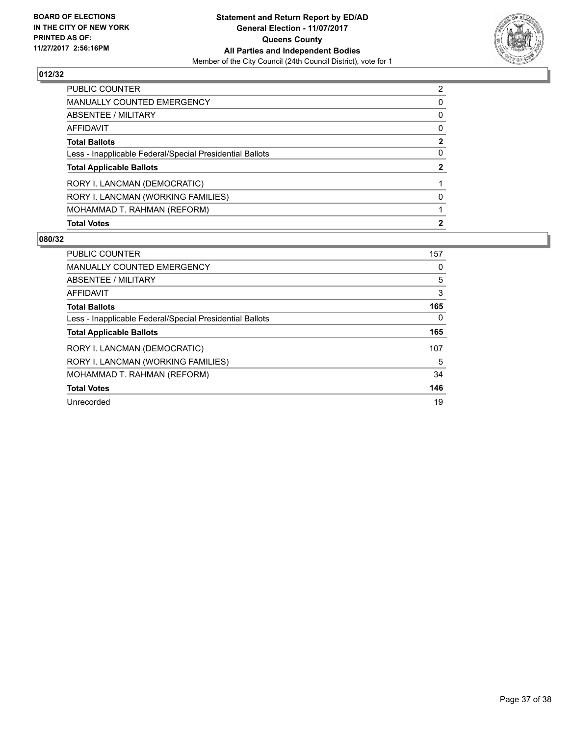

| PUBLIC COUNTER                                           | $\overline{2}$ |
|----------------------------------------------------------|----------------|
| <b>MANUALLY COUNTED EMERGENCY</b>                        | 0              |
| ABSENTEE / MILITARY                                      | 0              |
| AFFIDAVIT                                                | 0              |
| <b>Total Ballots</b>                                     | $\mathbf{2}$   |
| Less - Inapplicable Federal/Special Presidential Ballots | 0              |
| <b>Total Applicable Ballots</b>                          | 2              |
| RORY I. LANCMAN (DEMOCRATIC)                             |                |
| RORY I. LANCMAN (WORKING FAMILIES)                       | 0              |
| MOHAMMAD T. RAHMAN (REFORM)                              |                |
| <b>Total Votes</b>                                       | $\mathbf{2}$   |

| <b>PUBLIC COUNTER</b>                                    | 157 |
|----------------------------------------------------------|-----|
| <b>MANUALLY COUNTED EMERGENCY</b>                        | 0   |
| ABSENTEE / MILITARY                                      | 5   |
| AFFIDAVIT                                                | 3   |
| <b>Total Ballots</b>                                     | 165 |
| Less - Inapplicable Federal/Special Presidential Ballots | 0   |
| <b>Total Applicable Ballots</b>                          | 165 |
| RORY I. LANCMAN (DEMOCRATIC)                             | 107 |
| RORY I. LANCMAN (WORKING FAMILIES)                       | 5   |
| MOHAMMAD T. RAHMAN (REFORM)                              | 34  |
| <b>Total Votes</b>                                       | 146 |
| Unrecorded                                               | 19  |